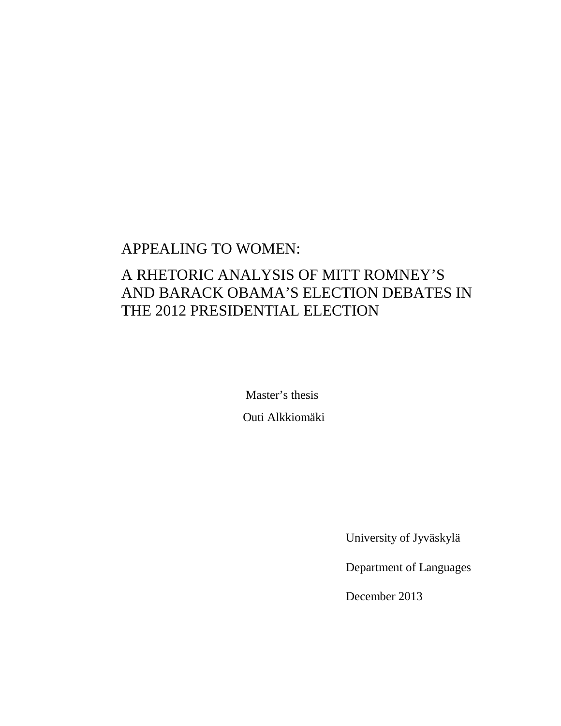## APPEALING TO WOMEN:

# A RHETORIC ANALYSIS OF MITT ROMNEY'S AND BARACK OBAMA'S ELECTION DEBATES IN THE 2012 PRESIDENTIAL ELECTION

 Master's thesis Outi Alkkiomäki

University of Jyväskylä

Department of Languages

December 2013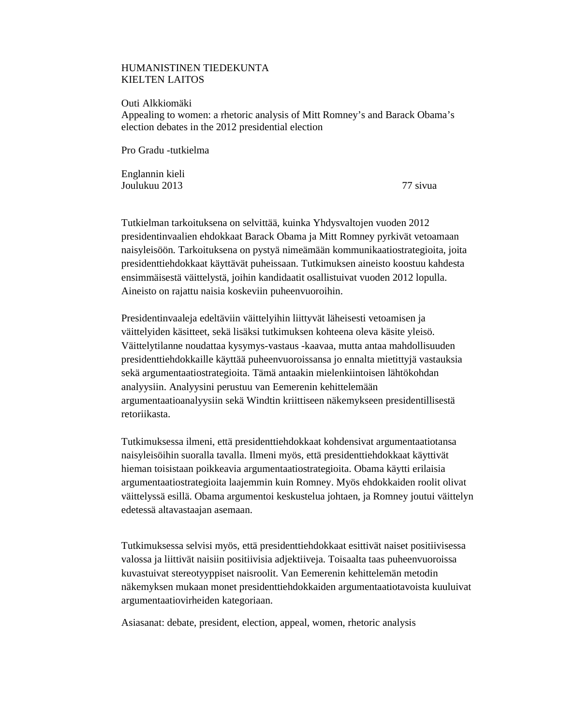## HUMANISTINEN TIEDEKUNTA KIELTEN LAITOS

Outi Alkkiomäki Appealing to women: a rhetoric analysis of Mitt Romney's and Barack Obama's election debates in the 2012 presidential election

Pro Gradu -tutkielma

Englannin kieli Joulukuu 2013 77 sivua

Tutkielman tarkoituksena on selvittää, kuinka Yhdysvaltojen vuoden 2012 presidentinvaalien ehdokkaat Barack Obama ja Mitt Romney pyrkivät vetoamaan naisyleisöön. Tarkoituksena on pystyä nimeämään kommunikaatiostrategioita, joita presidenttiehdokkaat käyttävät puheissaan. Tutkimuksen aineisto koostuu kahdesta ensimmäisestä väittelystä, joihin kandidaatit osallistuivat vuoden 2012 lopulla. Aineisto on rajattu naisia koskeviin puheenvuoroihin.

Presidentinvaaleja edeltäviin väittelyihin liittyvät läheisesti vetoamisen ja väittelyiden käsitteet, sekä lisäksi tutkimuksen kohteena oleva käsite yleisö. Väittelytilanne noudattaa kysymys-vastaus -kaavaa, mutta antaa mahdollisuuden presidenttiehdokkaille käyttää puheenvuoroissansa jo ennalta mietittyjä vastauksia sekä argumentaatiostrategioita. Tämä antaakin mielenkiintoisen lähtökohdan analyysiin. Analyysini perustuu van Eemerenin kehittelemään argumentaatioanalyysiin sekä Windtin kriittiseen näkemykseen presidentillisestä retoriikasta.

Tutkimuksessa ilmeni, että presidenttiehdokkaat kohdensivat argumentaatiotansa naisyleisöihin suoralla tavalla. Ilmeni myös, että presidenttiehdokkaat käyttivät hieman toisistaan poikkeavia argumentaatiostrategioita. Obama käytti erilaisia argumentaatiostrategioita laajemmin kuin Romney. Myös ehdokkaiden roolit olivat väittelyssä esillä. Obama argumentoi keskustelua johtaen, ja Romney joutui väittelyn edetessä altavastaajan asemaan.

Tutkimuksessa selvisi myös, että presidenttiehdokkaat esittivät naiset positiivisessa valossa ja liittivät naisiin positiivisia adjektiiveja. Toisaalta taas puheenvuoroissa kuvastuivat stereotyyppiset naisroolit. Van Eemerenin kehittelemän metodin näkemyksen mukaan monet presidenttiehdokkaiden argumentaatiotavoista kuuluivat argumentaatiovirheiden kategoriaan.

Asiasanat: debate, president, election, appeal, women, rhetoric analysis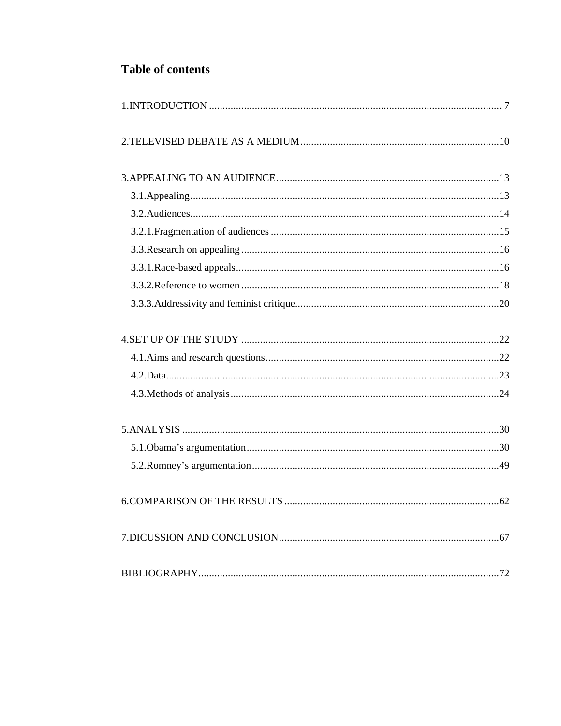## **Table of contents**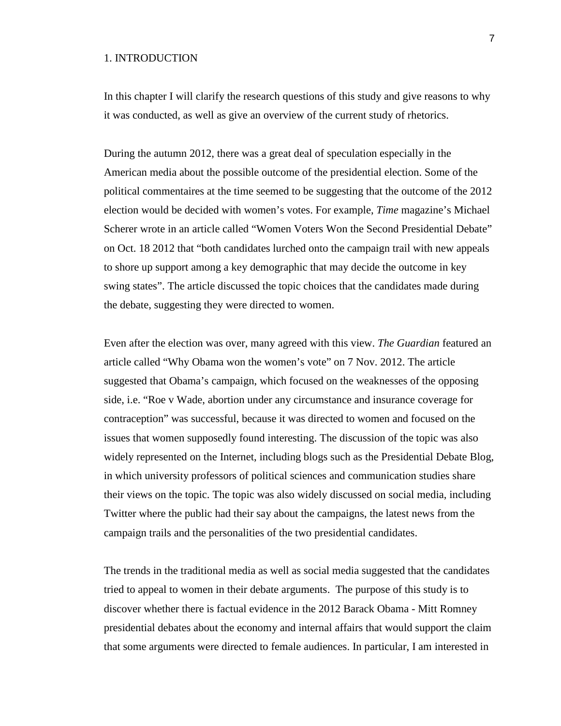## 1. INTRODUCTION

In this chapter I will clarify the research questions of this study and give reasons to why it was conducted, as well as give an overview of the current study of rhetorics.

During the autumn 2012, there was a great deal of speculation especially in the American media about the possible outcome of the presidential election. Some of the political commentaires at the time seemed to be suggesting that the outcome of the 2012 election would be decided with women's votes. For example, *Time* magazine's Michael Scherer wrote in an article called "Women Voters Won the Second Presidential Debate" on Oct. 18 2012 that "both candidates lurched onto the campaign trail with new appeals to shore up support among a key demographic that may decide the outcome in key swing states". The article discussed the topic choices that the candidates made during the debate, suggesting they were directed to women.

Even after the election was over, many agreed with this view. *The Guardian* featured an article called "Why Obama won the women's vote" on 7 Nov. 2012. The article suggested that Obama's campaign, which focused on the weaknesses of the opposing side, i.e. "Roe v Wade, abortion under any circumstance and insurance coverage for contraception" was successful, because it was directed to women and focused on the issues that women supposedly found interesting. The discussion of the topic was also widely represented on the Internet, including blogs such as the Presidential Debate Blog, in which university professors of political sciences and communication studies share their views on the topic. The topic was also widely discussed on social media, including Twitter where the public had their say about the campaigns, the latest news from the campaign trails and the personalities of the two presidential candidates.

The trends in the traditional media as well as social media suggested that the candidates tried to appeal to women in their debate arguments. The purpose of this study is to discover whether there is factual evidence in the 2012 Barack Obama - Mitt Romney presidential debates about the economy and internal affairs that would support the claim that some arguments were directed to female audiences. In particular, I am interested in

7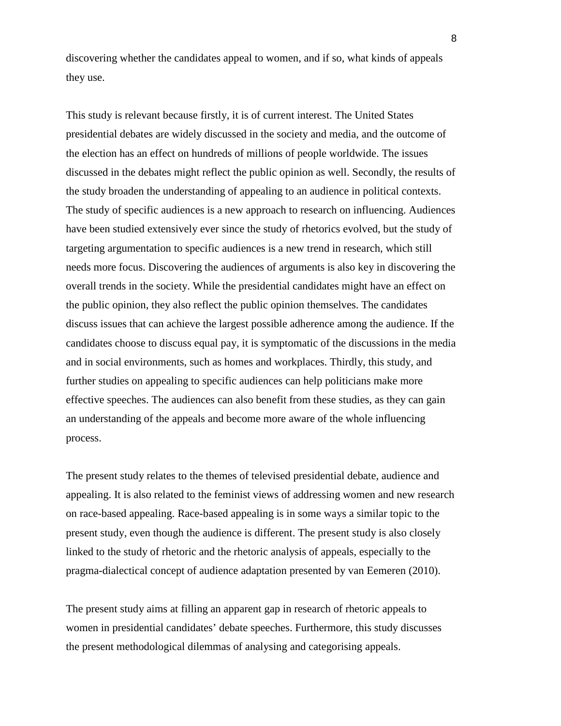discovering whether the candidates appeal to women, and if so, what kinds of appeals they use.

This study is relevant because firstly, it is of current interest. The United States presidential debates are widely discussed in the society and media, and the outcome of the election has an effect on hundreds of millions of people worldwide. The issues discussed in the debates might reflect the public opinion as well. Secondly, the results of the study broaden the understanding of appealing to an audience in political contexts. The study of specific audiences is a new approach to research on influencing. Audiences have been studied extensively ever since the study of rhetorics evolved, but the study of targeting argumentation to specific audiences is a new trend in research, which still needs more focus. Discovering the audiences of arguments is also key in discovering the overall trends in the society. While the presidential candidates might have an effect on the public opinion, they also reflect the public opinion themselves. The candidates discuss issues that can achieve the largest possible adherence among the audience. If the candidates choose to discuss equal pay, it is symptomatic of the discussions in the media and in social environments, such as homes and workplaces. Thirdly, this study, and further studies on appealing to specific audiences can help politicians make more effective speeches. The audiences can also benefit from these studies, as they can gain an understanding of the appeals and become more aware of the whole influencing process.

The present study relates to the themes of televised presidential debate, audience and appealing. It is also related to the feminist views of addressing women and new research on race-based appealing. Race-based appealing is in some ways a similar topic to the present study, even though the audience is different. The present study is also closely linked to the study of rhetoric and the rhetoric analysis of appeals, especially to the pragma-dialectical concept of audience adaptation presented by van Eemeren (2010).

The present study aims at filling an apparent gap in research of rhetoric appeals to women in presidential candidates' debate speeches. Furthermore, this study discusses the present methodological dilemmas of analysing and categorising appeals.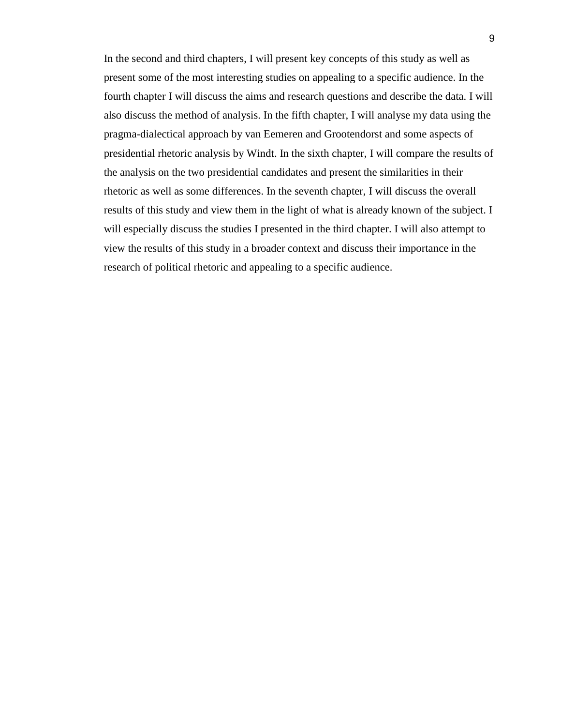In the second and third chapters, I will present key concepts of this study as well as present some of the most interesting studies on appealing to a specific audience. In the fourth chapter I will discuss the aims and research questions and describe the data. I will also discuss the method of analysis. In the fifth chapter, I will analyse my data using the pragma-dialectical approach by van Eemeren and Grootendorst and some aspects of presidential rhetoric analysis by Windt. In the sixth chapter, I will compare the results of the analysis on the two presidential candidates and present the similarities in their rhetoric as well as some differences. In the seventh chapter, I will discuss the overall results of this study and view them in the light of what is already known of the subject. I will especially discuss the studies I presented in the third chapter. I will also attempt to view the results of this study in a broader context and discuss their importance in the research of political rhetoric and appealing to a specific audience.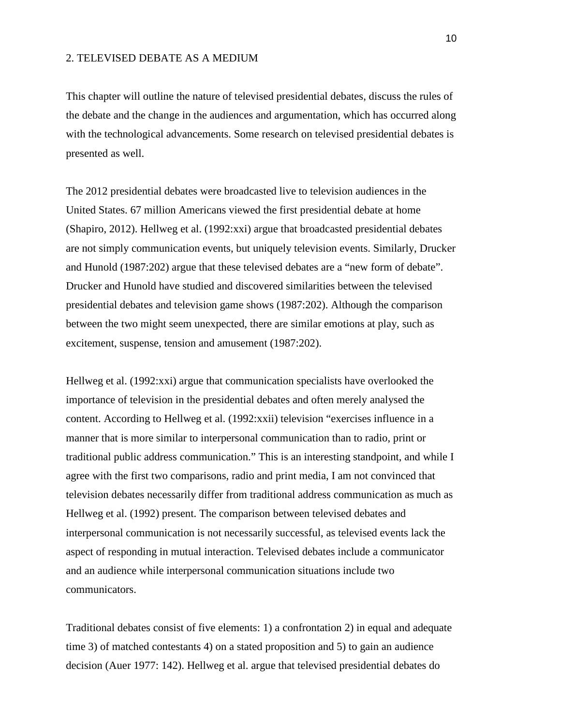#### 2. TELEVISED DEBATE AS A MEDIUM

This chapter will outline the nature of televised presidential debates, discuss the rules of the debate and the change in the audiences and argumentation, which has occurred along with the technological advancements. Some research on televised presidential debates is presented as well.

The 2012 presidential debates were broadcasted live to television audiences in the United States. 67 million Americans viewed the first presidential debate at home (Shapiro, 2012). Hellweg et al. (1992:xxi) argue that broadcasted presidential debates are not simply communication events, but uniquely television events. Similarly, Drucker and Hunold (1987:202) argue that these televised debates are a "new form of debate". Drucker and Hunold have studied and discovered similarities between the televised presidential debates and television game shows (1987:202). Although the comparison between the two might seem unexpected, there are similar emotions at play, such as excitement, suspense, tension and amusement (1987:202).

Hellweg et al. (1992:xxi) argue that communication specialists have overlooked the importance of television in the presidential debates and often merely analysed the content. According to Hellweg et al. (1992:xxii) television "exercises influence in a manner that is more similar to interpersonal communication than to radio, print or traditional public address communication." This is an interesting standpoint, and while I agree with the first two comparisons, radio and print media, I am not convinced that television debates necessarily differ from traditional address communication as much as Hellweg et al. (1992) present. The comparison between televised debates and interpersonal communication is not necessarily successful, as televised events lack the aspect of responding in mutual interaction. Televised debates include a communicator and an audience while interpersonal communication situations include two communicators.

Traditional debates consist of five elements: 1) a confrontation 2) in equal and adequate time 3) of matched contestants 4) on a stated proposition and 5) to gain an audience decision (Auer 1977: 142). Hellweg et al. argue that televised presidential debates do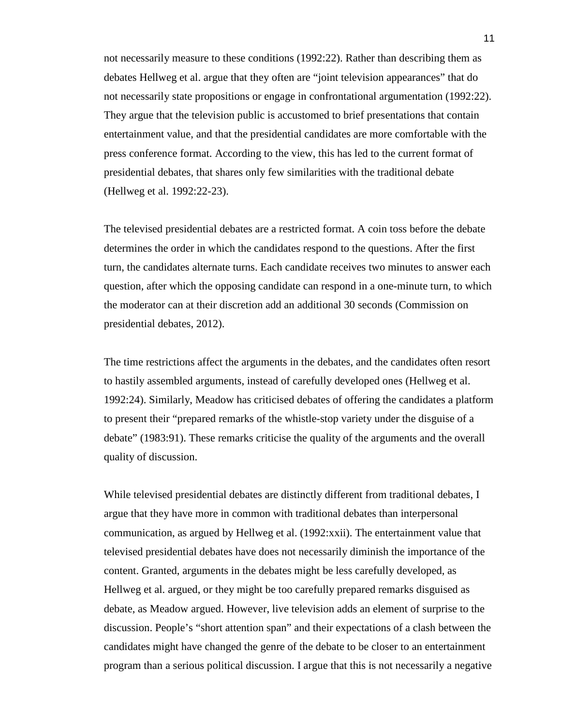not necessarily measure to these conditions (1992:22). Rather than describing them as debates Hellweg et al. argue that they often are "joint television appearances" that do not necessarily state propositions or engage in confrontational argumentation (1992:22). They argue that the television public is accustomed to brief presentations that contain entertainment value, and that the presidential candidates are more comfortable with the press conference format. According to the view, this has led to the current format of presidential debates, that shares only few similarities with the traditional debate (Hellweg et al. 1992:22-23).

The televised presidential debates are a restricted format. A coin toss before the debate determines the order in which the candidates respond to the questions. After the first turn, the candidates alternate turns. Each candidate receives two minutes to answer each question, after which the opposing candidate can respond in a one-minute turn, to which the moderator can at their discretion add an additional 30 seconds (Commission on presidential debates, 2012).

The time restrictions affect the arguments in the debates, and the candidates often resort to hastily assembled arguments, instead of carefully developed ones (Hellweg et al. 1992:24). Similarly, Meadow has criticised debates of offering the candidates a platform to present their "prepared remarks of the whistle-stop variety under the disguise of a debate" (1983:91). These remarks criticise the quality of the arguments and the overall quality of discussion.

While televised presidential debates are distinctly different from traditional debates, I argue that they have more in common with traditional debates than interpersonal communication, as argued by Hellweg et al. (1992:xxii). The entertainment value that televised presidential debates have does not necessarily diminish the importance of the content. Granted, arguments in the debates might be less carefully developed, as Hellweg et al. argued, or they might be too carefully prepared remarks disguised as debate, as Meadow argued. However, live television adds an element of surprise to the discussion. People's "short attention span" and their expectations of a clash between the candidates might have changed the genre of the debate to be closer to an entertainment program than a serious political discussion. I argue that this is not necessarily a negative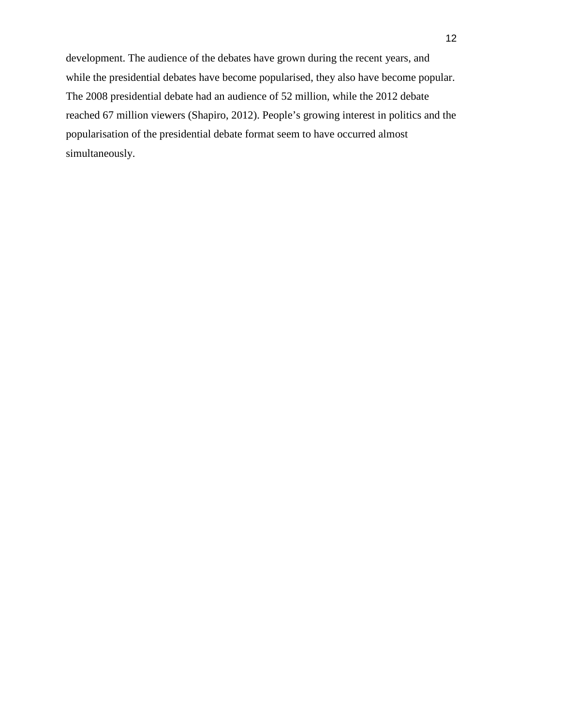development. The audience of the debates have grown during the recent years, and while the presidential debates have become popularised, they also have become popular. The 2008 presidential debate had an audience of 52 million, while the 2012 debate reached 67 million viewers (Shapiro, 2012). People's growing interest in politics and the popularisation of the presidential debate format seem to have occurred almost simultaneously.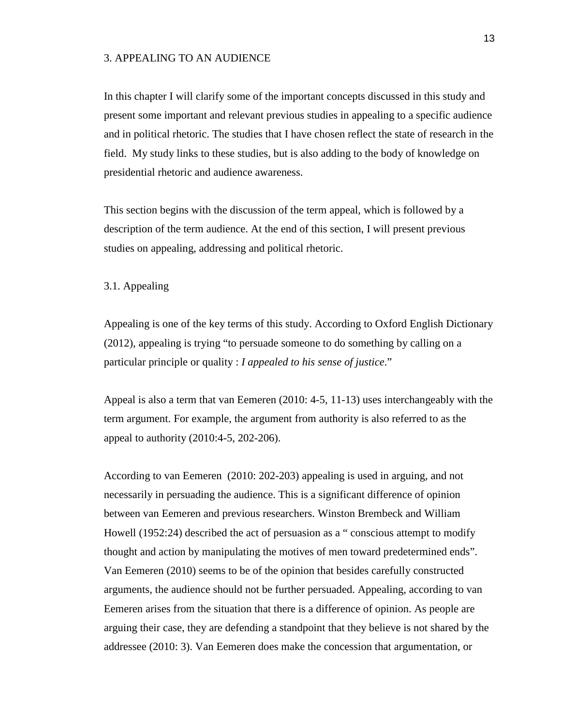## 3. APPEALING TO AN AUDIENCE

In this chapter I will clarify some of the important concepts discussed in this study and present some important and relevant previous studies in appealing to a specific audience and in political rhetoric. The studies that I have chosen reflect the state of research in the field. My study links to these studies, but is also adding to the body of knowledge on presidential rhetoric and audience awareness.

This section begins with the discussion of the term appeal, which is followed by a description of the term audience. At the end of this section, I will present previous studies on appealing, addressing and political rhetoric.

#### 3.1. Appealing

Appealing is one of the key terms of this study. According to Oxford English Dictionary (2012), appealing is trying "to persuade someone to do something by calling on a particular principle or quality : *I appealed to his sense of justice*."

Appeal is also a term that van Eemeren (2010: 4-5, 11-13) uses interchangeably with the term argument. For example, the argument from authority is also referred to as the appeal to authority (2010:4-5, 202-206).

According to van Eemeren (2010: 202-203) appealing is used in arguing, and not necessarily in persuading the audience. This is a significant difference of opinion between van Eemeren and previous researchers. Winston Brembeck and William Howell (1952:24) described the act of persuasion as a " conscious attempt to modify thought and action by manipulating the motives of men toward predetermined ends". Van Eemeren (2010) seems to be of the opinion that besides carefully constructed arguments, the audience should not be further persuaded. Appealing, according to van Eemeren arises from the situation that there is a difference of opinion. As people are arguing their case, they are defending a standpoint that they believe is not shared by the addressee (2010: 3). Van Eemeren does make the concession that argumentation, or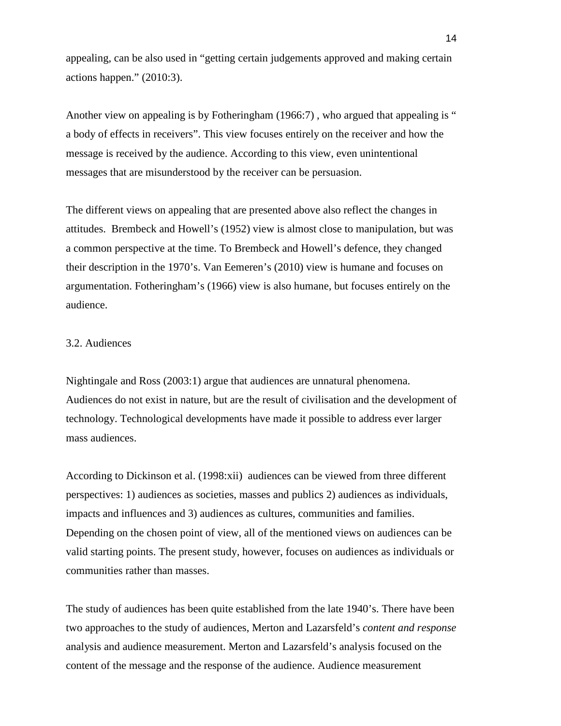appealing, can be also used in "getting certain judgements approved and making certain actions happen." (2010:3).

Another view on appealing is by Fotheringham (1966:7), who argued that appealing is " a body of effects in receivers". This view focuses entirely on the receiver and how the message is received by the audience. According to this view, even unintentional messages that are misunderstood by the receiver can be persuasion.

The different views on appealing that are presented above also reflect the changes in attitudes. Brembeck and Howell's (1952) view is almost close to manipulation, but was a common perspective at the time. To Brembeck and Howell's defence, they changed their description in the 1970's. Van Eemeren's (2010) view is humane and focuses on argumentation. Fotheringham's (1966) view is also humane, but focuses entirely on the audience.

## 3.2. Audiences

Nightingale and Ross (2003:1) argue that audiences are unnatural phenomena. Audiences do not exist in nature, but are the result of civilisation and the development of technology. Technological developments have made it possible to address ever larger mass audiences.

According to Dickinson et al. (1998:xii) audiences can be viewed from three different perspectives: 1) audiences as societies, masses and publics 2) audiences as individuals, impacts and influences and 3) audiences as cultures, communities and families. Depending on the chosen point of view, all of the mentioned views on audiences can be valid starting points. The present study, however, focuses on audiences as individuals or communities rather than masses.

The study of audiences has been quite established from the late 1940's. There have been two approaches to the study of audiences, Merton and Lazarsfeld's *content and response*  analysis and audience measurement. Merton and Lazarsfeld's analysis focused on the content of the message and the response of the audience. Audience measurement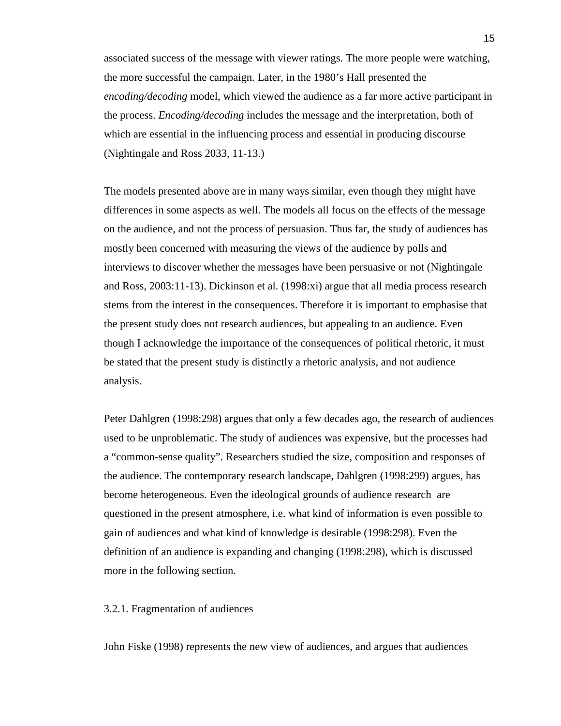associated success of the message with viewer ratings. The more people were watching, the more successful the campaign. Later, in the 1980's Hall presented the *encoding/decoding* model, which viewed the audience as a far more active participant in the process. *Encoding/decoding* includes the message and the interpretation, both of which are essential in the influencing process and essential in producing discourse (Nightingale and Ross 2033, 11-13.)

The models presented above are in many ways similar, even though they might have differences in some aspects as well. The models all focus on the effects of the message on the audience, and not the process of persuasion. Thus far, the study of audiences has mostly been concerned with measuring the views of the audience by polls and interviews to discover whether the messages have been persuasive or not (Nightingale and Ross, 2003:11-13). Dickinson et al. (1998:xi) argue that all media process research stems from the interest in the consequences. Therefore it is important to emphasise that the present study does not research audiences, but appealing to an audience. Even though I acknowledge the importance of the consequences of political rhetoric, it must be stated that the present study is distinctly a rhetoric analysis, and not audience analysis.

Peter Dahlgren (1998:298) argues that only a few decades ago, the research of audiences used to be unproblematic. The study of audiences was expensive, but the processes had a "common-sense quality". Researchers studied the size, composition and responses of the audience. The contemporary research landscape, Dahlgren (1998:299) argues, has become heterogeneous. Even the ideological grounds of audience research are questioned in the present atmosphere, i.e. what kind of information is even possible to gain of audiences and what kind of knowledge is desirable (1998:298). Even the definition of an audience is expanding and changing (1998:298), which is discussed more in the following section.

#### 3.2.1. Fragmentation of audiences

John Fiske (1998) represents the new view of audiences, and argues that audiences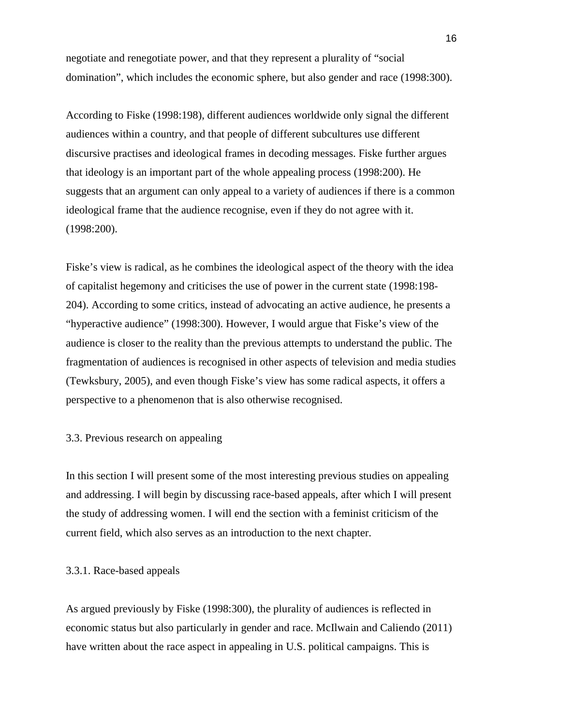negotiate and renegotiate power, and that they represent a plurality of "social domination", which includes the economic sphere, but also gender and race (1998:300).

According to Fiske (1998:198), different audiences worldwide only signal the different audiences within a country, and that people of different subcultures use different discursive practises and ideological frames in decoding messages. Fiske further argues that ideology is an important part of the whole appealing process (1998:200). He suggests that an argument can only appeal to a variety of audiences if there is a common ideological frame that the audience recognise, even if they do not agree with it. (1998:200).

Fiske's view is radical, as he combines the ideological aspect of the theory with the idea of capitalist hegemony and criticises the use of power in the current state (1998:198- 204). According to some critics, instead of advocating an active audience, he presents a "hyperactive audience" (1998:300). However, I would argue that Fiske's view of the audience is closer to the reality than the previous attempts to understand the public. The fragmentation of audiences is recognised in other aspects of television and media studies (Tewksbury, 2005), and even though Fiske's view has some radical aspects, it offers a perspective to a phenomenon that is also otherwise recognised.

## 3.3. Previous research on appealing

In this section I will present some of the most interesting previous studies on appealing and addressing. I will begin by discussing race-based appeals, after which I will present the study of addressing women. I will end the section with a feminist criticism of the current field, which also serves as an introduction to the next chapter.

## 3.3.1. Race-based appeals

As argued previously by Fiske (1998:300), the plurality of audiences is reflected in economic status but also particularly in gender and race. McIlwain and Caliendo (2011) have written about the race aspect in appealing in U.S. political campaigns. This is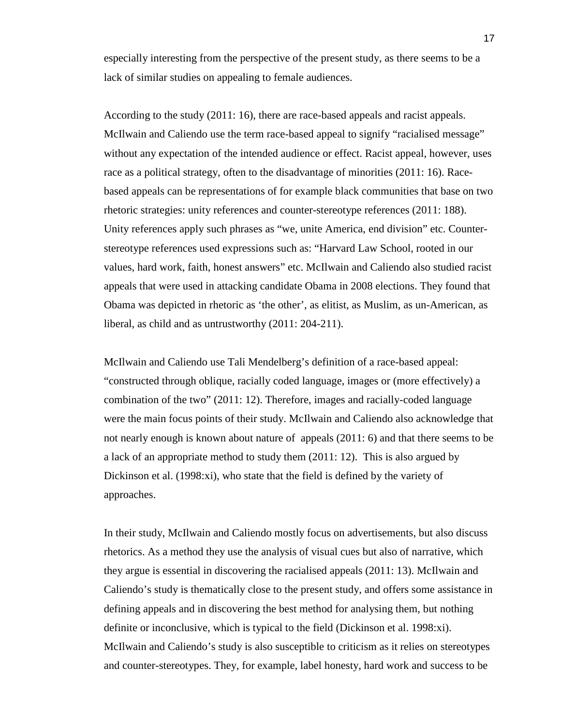especially interesting from the perspective of the present study, as there seems to be a lack of similar studies on appealing to female audiences.

According to the study (2011: 16), there are race-based appeals and racist appeals. McIlwain and Caliendo use the term race-based appeal to signify "racialised message" without any expectation of the intended audience or effect. Racist appeal, however, uses race as a political strategy, often to the disadvantage of minorities (2011: 16). Racebased appeals can be representations of for example black communities that base on two rhetoric strategies: unity references and counter-stereotype references (2011: 188). Unity references apply such phrases as "we, unite America, end division" etc. Counterstereotype references used expressions such as: "Harvard Law School, rooted in our values, hard work, faith, honest answers" etc. McIlwain and Caliendo also studied racist appeals that were used in attacking candidate Obama in 2008 elections. They found that Obama was depicted in rhetoric as 'the other', as elitist, as Muslim, as un-American, as liberal, as child and as untrustworthy (2011: 204-211).

McIlwain and Caliendo use Tali Mendelberg's definition of a race-based appeal: "constructed through oblique, racially coded language, images or (more effectively) a combination of the two" (2011: 12). Therefore, images and racially-coded language were the main focus points of their study. McIlwain and Caliendo also acknowledge that not nearly enough is known about nature of appeals (2011: 6) and that there seems to be a lack of an appropriate method to study them (2011: 12). This is also argued by Dickinson et al. (1998:xi), who state that the field is defined by the variety of approaches.

In their study, McIlwain and Caliendo mostly focus on advertisements, but also discuss rhetorics. As a method they use the analysis of visual cues but also of narrative, which they argue is essential in discovering the racialised appeals (2011: 13). McIlwain and Caliendo's study is thematically close to the present study, and offers some assistance in defining appeals and in discovering the best method for analysing them, but nothing definite or inconclusive, which is typical to the field (Dickinson et al. 1998:xi). McIlwain and Caliendo's study is also susceptible to criticism as it relies on stereotypes and counter-stereotypes. They, for example, label honesty, hard work and success to be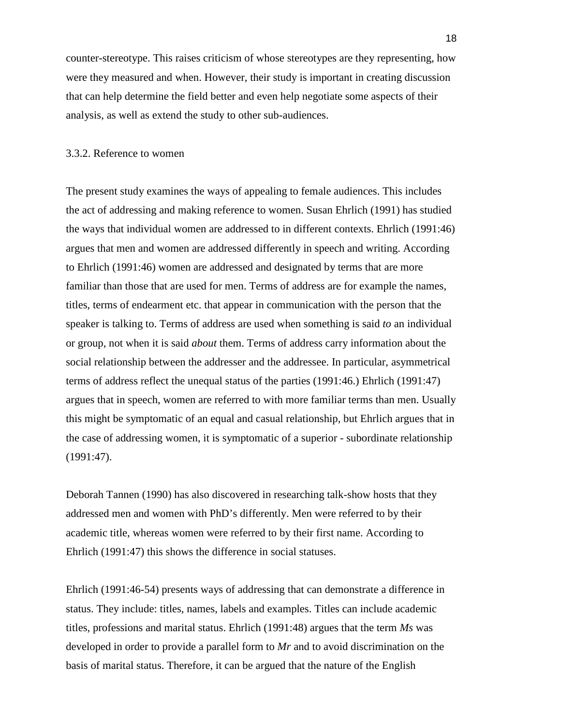counter-stereotype. This raises criticism of whose stereotypes are they representing, how were they measured and when. However, their study is important in creating discussion that can help determine the field better and even help negotiate some aspects of their analysis, as well as extend the study to other sub-audiences.

## 3.3.2. Reference to women

The present study examines the ways of appealing to female audiences. This includes the act of addressing and making reference to women. Susan Ehrlich (1991) has studied the ways that individual women are addressed to in different contexts. Ehrlich (1991:46) argues that men and women are addressed differently in speech and writing. According to Ehrlich (1991:46) women are addressed and designated by terms that are more familiar than those that are used for men. Terms of address are for example the names, titles, terms of endearment etc. that appear in communication with the person that the speaker is talking to. Terms of address are used when something is said *to* an individual or group, not when it is said *about* them. Terms of address carry information about the social relationship between the addresser and the addressee. In particular, asymmetrical terms of address reflect the unequal status of the parties (1991:46.) Ehrlich (1991:47) argues that in speech, women are referred to with more familiar terms than men. Usually this might be symptomatic of an equal and casual relationship, but Ehrlich argues that in the case of addressing women, it is symptomatic of a superior - subordinate relationship (1991:47).

Deborah Tannen (1990) has also discovered in researching talk-show hosts that they addressed men and women with PhD's differently. Men were referred to by their academic title, whereas women were referred to by their first name. According to Ehrlich (1991:47) this shows the difference in social statuses.

Ehrlich (1991:46-54) presents ways of addressing that can demonstrate a difference in status. They include: titles, names, labels and examples. Titles can include academic titles, professions and marital status. Ehrlich (1991:48) argues that the term *Ms* was developed in order to provide a parallel form to *Mr* and to avoid discrimination on the basis of marital status. Therefore, it can be argued that the nature of the English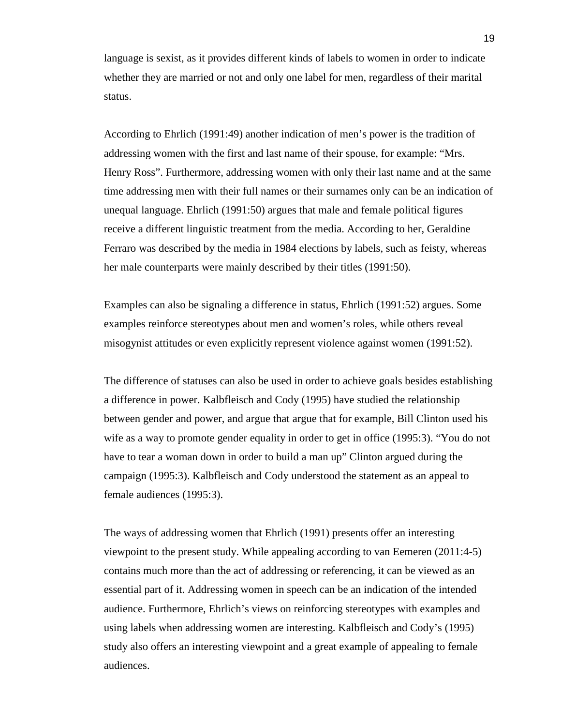language is sexist, as it provides different kinds of labels to women in order to indicate whether they are married or not and only one label for men, regardless of their marital status.

According to Ehrlich (1991:49) another indication of men's power is the tradition of addressing women with the first and last name of their spouse, for example: "Mrs. Henry Ross". Furthermore, addressing women with only their last name and at the same time addressing men with their full names or their surnames only can be an indication of unequal language. Ehrlich (1991:50) argues that male and female political figures receive a different linguistic treatment from the media. According to her, Geraldine Ferraro was described by the media in 1984 elections by labels, such as feisty, whereas her male counterparts were mainly described by their titles (1991:50).

Examples can also be signaling a difference in status, Ehrlich (1991:52) argues. Some examples reinforce stereotypes about men and women's roles, while others reveal misogynist attitudes or even explicitly represent violence against women (1991:52).

The difference of statuses can also be used in order to achieve goals besides establishing a difference in power. Kalbfleisch and Cody (1995) have studied the relationship between gender and power, and argue that argue that for example, Bill Clinton used his wife as a way to promote gender equality in order to get in office (1995:3). "You do not have to tear a woman down in order to build a man up" Clinton argued during the campaign (1995:3). Kalbfleisch and Cody understood the statement as an appeal to female audiences (1995:3).

The ways of addressing women that Ehrlich (1991) presents offer an interesting viewpoint to the present study. While appealing according to van Eemeren (2011:4-5) contains much more than the act of addressing or referencing, it can be viewed as an essential part of it. Addressing women in speech can be an indication of the intended audience. Furthermore, Ehrlich's views on reinforcing stereotypes with examples and using labels when addressing women are interesting. Kalbfleisch and Cody's (1995) study also offers an interesting viewpoint and a great example of appealing to female audiences.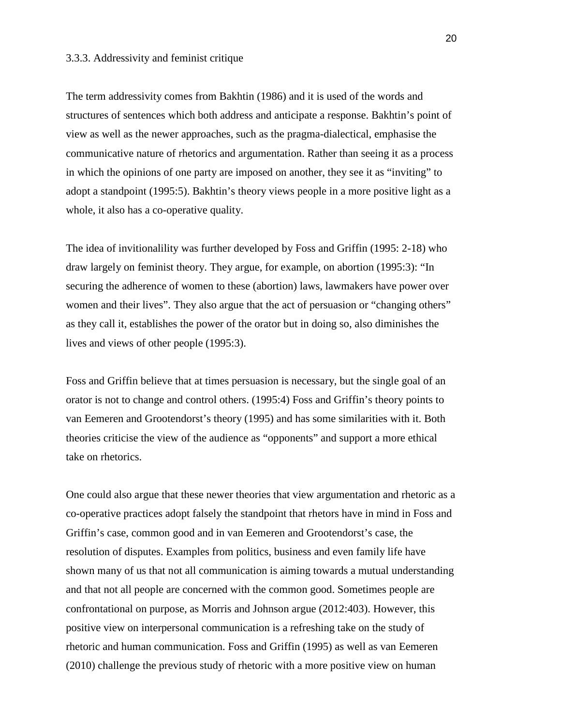## 3.3.3. Addressivity and feminist critique

The term addressivity comes from Bakhtin (1986) and it is used of the words and structures of sentences which both address and anticipate a response. Bakhtin's point of view as well as the newer approaches, such as the pragma-dialectical, emphasise the communicative nature of rhetorics and argumentation. Rather than seeing it as a process in which the opinions of one party are imposed on another, they see it as "inviting" to adopt a standpoint (1995:5). Bakhtin's theory views people in a more positive light as a whole, it also has a co-operative quality.

The idea of invitionalility was further developed by Foss and Griffin (1995: 2-18) who draw largely on feminist theory. They argue, for example, on abortion (1995:3): "In securing the adherence of women to these (abortion) laws, lawmakers have power over women and their lives". They also argue that the act of persuasion or "changing others" as they call it, establishes the power of the orator but in doing so, also diminishes the lives and views of other people (1995:3).

Foss and Griffin believe that at times persuasion is necessary, but the single goal of an orator is not to change and control others. (1995:4) Foss and Griffin's theory points to van Eemeren and Grootendorst's theory (1995) and has some similarities with it. Both theories criticise the view of the audience as "opponents" and support a more ethical take on rhetorics.

One could also argue that these newer theories that view argumentation and rhetoric as a co-operative practices adopt falsely the standpoint that rhetors have in mind in Foss and Griffin's case, common good and in van Eemeren and Grootendorst's case, the resolution of disputes. Examples from politics, business and even family life have shown many of us that not all communication is aiming towards a mutual understanding and that not all people are concerned with the common good. Sometimes people are confrontational on purpose, as Morris and Johnson argue (2012:403). However, this positive view on interpersonal communication is a refreshing take on the study of rhetoric and human communication. Foss and Griffin (1995) as well as van Eemeren (2010) challenge the previous study of rhetoric with a more positive view on human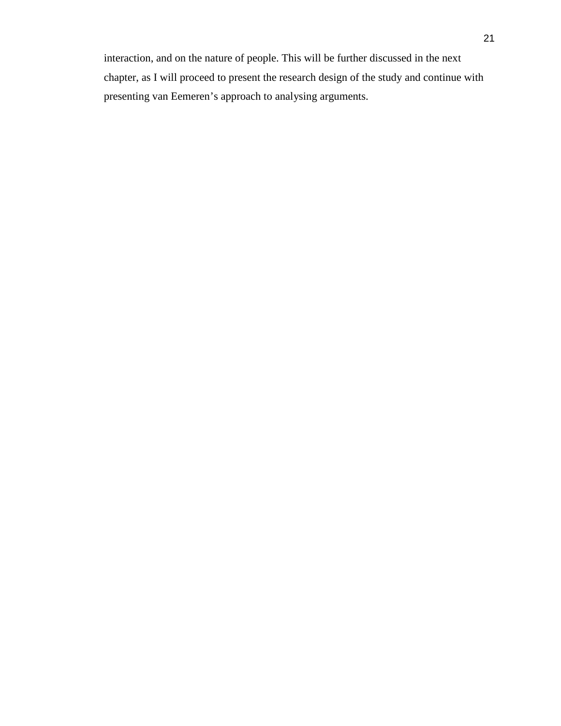interaction, and on the nature of people. This will be further discussed in the next chapter, as I will proceed to present the research design of the study and continue with presenting van Eemeren's approach to analysing arguments.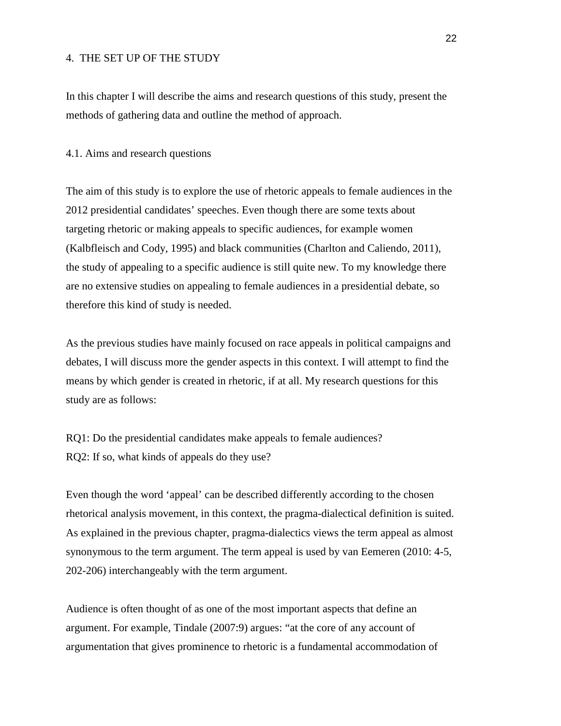## 4. THE SET UP OF THE STUDY

In this chapter I will describe the aims and research questions of this study, present the methods of gathering data and outline the method of approach.

#### 4.1. Aims and research questions

The aim of this study is to explore the use of rhetoric appeals to female audiences in the 2012 presidential candidates' speeches. Even though there are some texts about targeting rhetoric or making appeals to specific audiences, for example women (Kalbfleisch and Cody, 1995) and black communities (Charlton and Caliendo, 2011), the study of appealing to a specific audience is still quite new. To my knowledge there are no extensive studies on appealing to female audiences in a presidential debate, so therefore this kind of study is needed.

As the previous studies have mainly focused on race appeals in political campaigns and debates, I will discuss more the gender aspects in this context. I will attempt to find the means by which gender is created in rhetoric, if at all. My research questions for this study are as follows:

RQ1: Do the presidential candidates make appeals to female audiences? RQ2: If so, what kinds of appeals do they use?

Even though the word 'appeal' can be described differently according to the chosen rhetorical analysis movement, in this context, the pragma-dialectical definition is suited. As explained in the previous chapter, pragma-dialectics views the term appeal as almost synonymous to the term argument. The term appeal is used by van Eemeren (2010: 4-5, 202-206) interchangeably with the term argument.

Audience is often thought of as one of the most important aspects that define an argument. For example, Tindale (2007:9) argues: "at the core of any account of argumentation that gives prominence to rhetoric is a fundamental accommodation of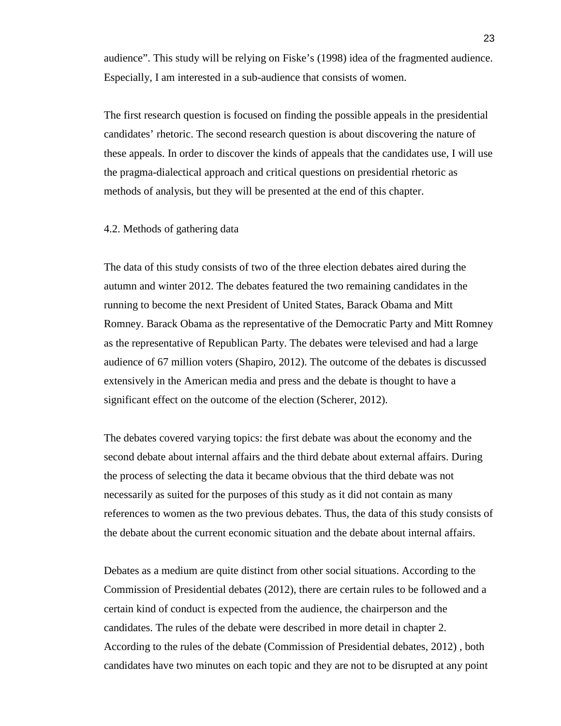audience". This study will be relying on Fiske's (1998) idea of the fragmented audience. Especially, I am interested in a sub-audience that consists of women.

The first research question is focused on finding the possible appeals in the presidential candidates' rhetoric. The second research question is about discovering the nature of these appeals. In order to discover the kinds of appeals that the candidates use, I will use the pragma-dialectical approach and critical questions on presidential rhetoric as methods of analysis, but they will be presented at the end of this chapter.

#### 4.2. Methods of gathering data

The data of this study consists of two of the three election debates aired during the autumn and winter 2012. The debates featured the two remaining candidates in the running to become the next President of United States, Barack Obama and Mitt Romney. Barack Obama as the representative of the Democratic Party and Mitt Romney as the representative of Republican Party. The debates were televised and had a large audience of 67 million voters (Shapiro, 2012). The outcome of the debates is discussed extensively in the American media and press and the debate is thought to have a significant effect on the outcome of the election (Scherer, 2012).

The debates covered varying topics: the first debate was about the economy and the second debate about internal affairs and the third debate about external affairs. During the process of selecting the data it became obvious that the third debate was not necessarily as suited for the purposes of this study as it did not contain as many references to women as the two previous debates. Thus, the data of this study consists of the debate about the current economic situation and the debate about internal affairs.

Debates as a medium are quite distinct from other social situations. According to the Commission of Presidential debates (2012), there are certain rules to be followed and a certain kind of conduct is expected from the audience, the chairperson and the candidates. The rules of the debate were described in more detail in chapter 2. According to the rules of the debate (Commission of Presidential debates, 2012) , both candidates have two minutes on each topic and they are not to be disrupted at any point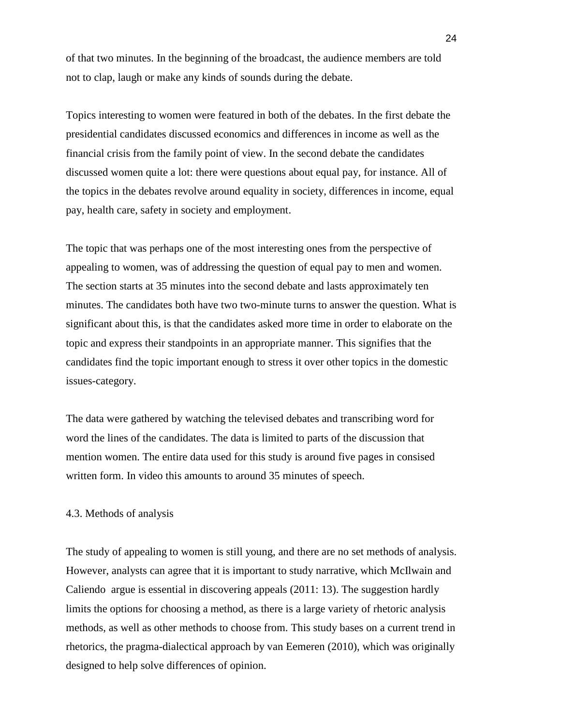of that two minutes. In the beginning of the broadcast, the audience members are told not to clap, laugh or make any kinds of sounds during the debate.

Topics interesting to women were featured in both of the debates. In the first debate the presidential candidates discussed economics and differences in income as well as the financial crisis from the family point of view. In the second debate the candidates discussed women quite a lot: there were questions about equal pay, for instance. All of the topics in the debates revolve around equality in society, differences in income, equal pay, health care, safety in society and employment.

The topic that was perhaps one of the most interesting ones from the perspective of appealing to women, was of addressing the question of equal pay to men and women. The section starts at 35 minutes into the second debate and lasts approximately ten minutes. The candidates both have two two-minute turns to answer the question. What is significant about this, is that the candidates asked more time in order to elaborate on the topic and express their standpoints in an appropriate manner. This signifies that the candidates find the topic important enough to stress it over other topics in the domestic issues-category.

The data were gathered by watching the televised debates and transcribing word for word the lines of the candidates. The data is limited to parts of the discussion that mention women. The entire data used for this study is around five pages in consised written form. In video this amounts to around 35 minutes of speech.

### 4.3. Methods of analysis

The study of appealing to women is still young, and there are no set methods of analysis. However, analysts can agree that it is important to study narrative, which McIlwain and Caliendo argue is essential in discovering appeals (2011: 13). The suggestion hardly limits the options for choosing a method, as there is a large variety of rhetoric analysis methods, as well as other methods to choose from. This study bases on a current trend in rhetorics, the pragma-dialectical approach by van Eemeren (2010), which was originally designed to help solve differences of opinion.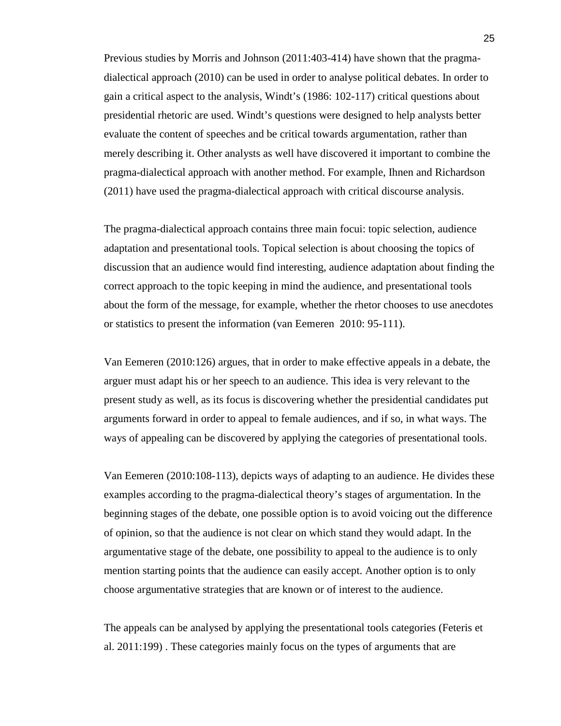Previous studies by Morris and Johnson (2011:403-414) have shown that the pragmadialectical approach (2010) can be used in order to analyse political debates. In order to gain a critical aspect to the analysis, Windt's (1986: 102-117) critical questions about presidential rhetoric are used. Windt's questions were designed to help analysts better evaluate the content of speeches and be critical towards argumentation, rather than merely describing it. Other analysts as well have discovered it important to combine the pragma-dialectical approach with another method. For example, Ihnen and Richardson (2011) have used the pragma-dialectical approach with critical discourse analysis.

The pragma-dialectical approach contains three main focui: topic selection, audience adaptation and presentational tools. Topical selection is about choosing the topics of discussion that an audience would find interesting, audience adaptation about finding the correct approach to the topic keeping in mind the audience, and presentational tools about the form of the message, for example, whether the rhetor chooses to use anecdotes or statistics to present the information (van Eemeren 2010: 95-111).

Van Eemeren (2010:126) argues, that in order to make effective appeals in a debate, the arguer must adapt his or her speech to an audience. This idea is very relevant to the present study as well, as its focus is discovering whether the presidential candidates put arguments forward in order to appeal to female audiences, and if so, in what ways. The ways of appealing can be discovered by applying the categories of presentational tools.

Van Eemeren (2010:108-113), depicts ways of adapting to an audience. He divides these examples according to the pragma-dialectical theory's stages of argumentation. In the beginning stages of the debate, one possible option is to avoid voicing out the difference of opinion, so that the audience is not clear on which stand they would adapt. In the argumentative stage of the debate, one possibility to appeal to the audience is to only mention starting points that the audience can easily accept. Another option is to only choose argumentative strategies that are known or of interest to the audience.

The appeals can be analysed by applying the presentational tools categories (Feteris et al. 2011:199) . These categories mainly focus on the types of arguments that are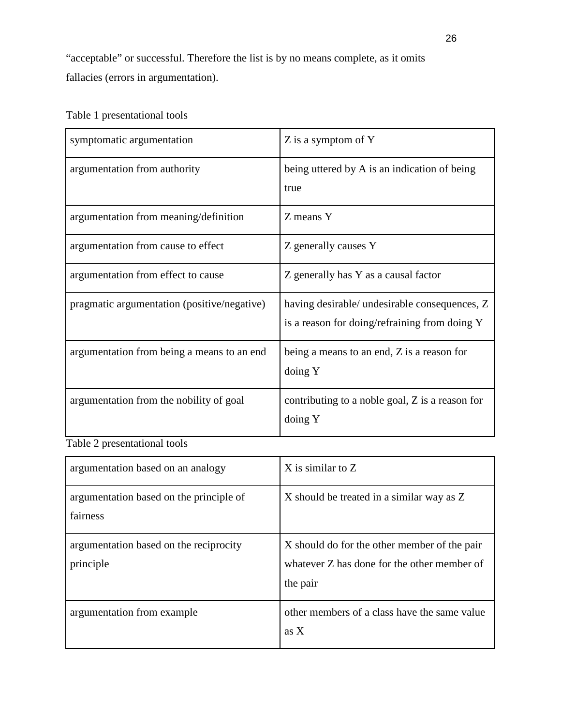"acceptable" or successful. Therefore the list is by no means complete, as it omits fallacies (errors in argumentation).

## Table 1 presentational tools

| symptomatic argumentation                   | Z is a symptom of Y                                                                            |
|---------------------------------------------|------------------------------------------------------------------------------------------------|
| argumentation from authority                | being uttered by A is an indication of being<br>true                                           |
| argumentation from meaning/definition       | Z means Y                                                                                      |
| argumentation from cause to effect          | Z generally causes Y                                                                           |
| argumentation from effect to cause          | Z generally has Y as a causal factor                                                           |
| pragmatic argumentation (positive/negative) | having desirable/ undesirable consequences, Z<br>is a reason for doing/refraining from doing Y |
| argumentation from being a means to an end  | being a means to an end, Z is a reason for<br>doing Y                                          |
| argumentation from the nobility of goal     | contributing to a noble goal, Z is a reason for<br>doing Y                                     |

Table 2 presentational tools

| argumentation based on an analogy                   | $X$ is similar to $Z$                                                                                   |
|-----------------------------------------------------|---------------------------------------------------------------------------------------------------------|
| argumentation based on the principle of<br>fairness | X should be treated in a similar way as Z                                                               |
| argumentation based on the reciprocity<br>principle | X should do for the other member of the pair<br>whatever Z has done for the other member of<br>the pair |
| argumentation from example                          | other members of a class have the same value<br>as $X$                                                  |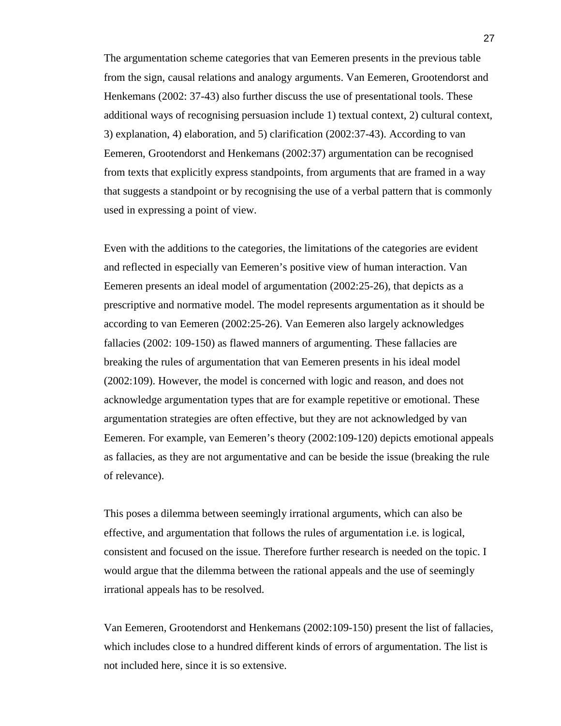The argumentation scheme categories that van Eemeren presents in the previous table from the sign, causal relations and analogy arguments. Van Eemeren, Grootendorst and Henkemans (2002: 37-43) also further discuss the use of presentational tools. These additional ways of recognising persuasion include 1) textual context, 2) cultural context, 3) explanation, 4) elaboration, and 5) clarification (2002:37-43). According to van Eemeren, Grootendorst and Henkemans (2002:37) argumentation can be recognised from texts that explicitly express standpoints, from arguments that are framed in a way that suggests a standpoint or by recognising the use of a verbal pattern that is commonly used in expressing a point of view.

Even with the additions to the categories, the limitations of the categories are evident and reflected in especially van Eemeren's positive view of human interaction. Van Eemeren presents an ideal model of argumentation (2002:25-26), that depicts as a prescriptive and normative model. The model represents argumentation as it should be according to van Eemeren (2002:25-26). Van Eemeren also largely acknowledges fallacies (2002: 109-150) as flawed manners of argumenting. These fallacies are breaking the rules of argumentation that van Eemeren presents in his ideal model (2002:109). However, the model is concerned with logic and reason, and does not acknowledge argumentation types that are for example repetitive or emotional. These argumentation strategies are often effective, but they are not acknowledged by van Eemeren. For example, van Eemeren's theory (2002:109-120) depicts emotional appeals as fallacies, as they are not argumentative and can be beside the issue (breaking the rule of relevance).

This poses a dilemma between seemingly irrational arguments, which can also be effective, and argumentation that follows the rules of argumentation i.e. is logical, consistent and focused on the issue. Therefore further research is needed on the topic. I would argue that the dilemma between the rational appeals and the use of seemingly irrational appeals has to be resolved.

Van Eemeren, Grootendorst and Henkemans (2002:109-150) present the list of fallacies, which includes close to a hundred different kinds of errors of argumentation. The list is not included here, since it is so extensive.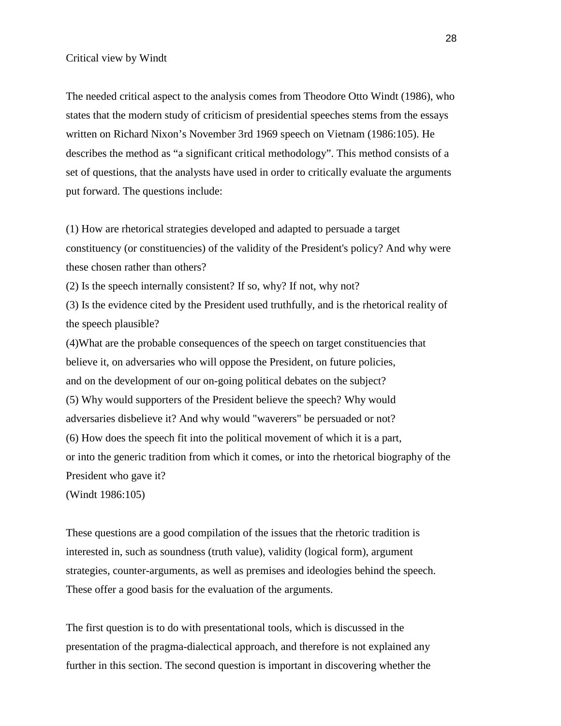The needed critical aspect to the analysis comes from Theodore Otto Windt (1986), who states that the modern study of criticism of presidential speeches stems from the essays written on Richard Nixon's November 3rd 1969 speech on Vietnam (1986:105). He describes the method as "a significant critical methodology". This method consists of a set of questions, that the analysts have used in order to critically evaluate the arguments put forward. The questions include:

(1) How are rhetorical strategies developed and adapted to persuade a target constituency (or constituencies) of the validity of the President's policy? And why were these chosen rather than others?

(2) Is the speech internally consistent? If so, why? If not, why not?

(3) Is the evidence cited by the President used truthfully, and is the rhetorical reality of the speech plausible?

(4)What are the probable consequences of the speech on target constituencies that believe it, on adversaries who will oppose the President, on future policies, and on the development of our on-going political debates on the subject? (5) Why would supporters of the President believe the speech? Why would adversaries disbelieve it? And why would "waverers" be persuaded or not? (6) How does the speech fit into the political movement of which it is a part, or into the generic tradition from which it comes, or into the rhetorical biography of the President who gave it?

(Windt 1986:105)

These questions are a good compilation of the issues that the rhetoric tradition is interested in, such as soundness (truth value), validity (logical form), argument strategies, counter-arguments, as well as premises and ideologies behind the speech. These offer a good basis for the evaluation of the arguments.

The first question is to do with presentational tools, which is discussed in the presentation of the pragma-dialectical approach, and therefore is not explained any further in this section. The second question is important in discovering whether the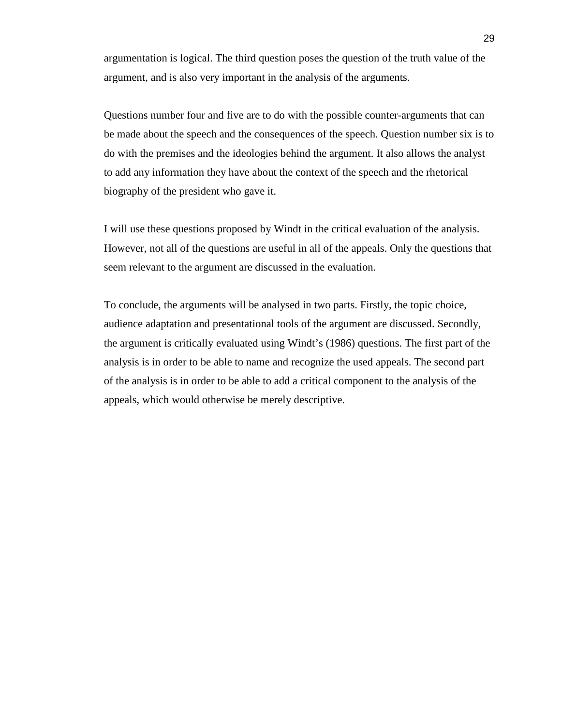argumentation is logical. The third question poses the question of the truth value of the argument, and is also very important in the analysis of the arguments.

Questions number four and five are to do with the possible counter-arguments that can be made about the speech and the consequences of the speech. Question number six is to do with the premises and the ideologies behind the argument. It also allows the analyst to add any information they have about the context of the speech and the rhetorical biography of the president who gave it.

I will use these questions proposed by Windt in the critical evaluation of the analysis. However, not all of the questions are useful in all of the appeals. Only the questions that seem relevant to the argument are discussed in the evaluation.

To conclude, the arguments will be analysed in two parts. Firstly, the topic choice, audience adaptation and presentational tools of the argument are discussed. Secondly, the argument is critically evaluated using Windt's (1986) questions. The first part of the analysis is in order to be able to name and recognize the used appeals. The second part of the analysis is in order to be able to add a critical component to the analysis of the appeals, which would otherwise be merely descriptive.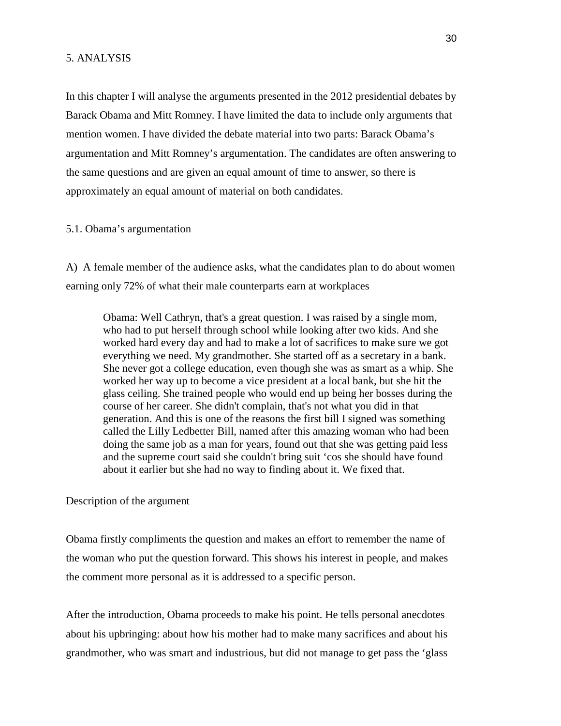In this chapter I will analyse the arguments presented in the 2012 presidential debates by Barack Obama and Mitt Romney. I have limited the data to include only arguments that mention women. I have divided the debate material into two parts: Barack Obama's argumentation and Mitt Romney's argumentation. The candidates are often answering to the same questions and are given an equal amount of time to answer, so there is approximately an equal amount of material on both candidates.

#### 5.1. Obama's argumentation

A) A female member of the audience asks, what the candidates plan to do about women earning only 72% of what their male counterparts earn at workplaces

Obama: Well Cathryn, that's a great question. I was raised by a single mom, who had to put herself through school while looking after two kids. And she worked hard every day and had to make a lot of sacrifices to make sure we got everything we need. My grandmother. She started off as a secretary in a bank. She never got a college education, even though she was as smart as a whip. She worked her way up to become a vice president at a local bank, but she hit the glass ceiling. She trained people who would end up being her bosses during the course of her career. She didn't complain, that's not what you did in that generation. And this is one of the reasons the first bill I signed was something called the Lilly Ledbetter Bill, named after this amazing woman who had been doing the same job as a man for years, found out that she was getting paid less and the supreme court said she couldn't bring suit 'cos she should have found about it earlier but she had no way to finding about it. We fixed that.

Description of the argument

Obama firstly compliments the question and makes an effort to remember the name of the woman who put the question forward. This shows his interest in people, and makes the comment more personal as it is addressed to a specific person.

After the introduction, Obama proceeds to make his point. He tells personal anecdotes about his upbringing: about how his mother had to make many sacrifices and about his grandmother, who was smart and industrious, but did not manage to get pass the 'glass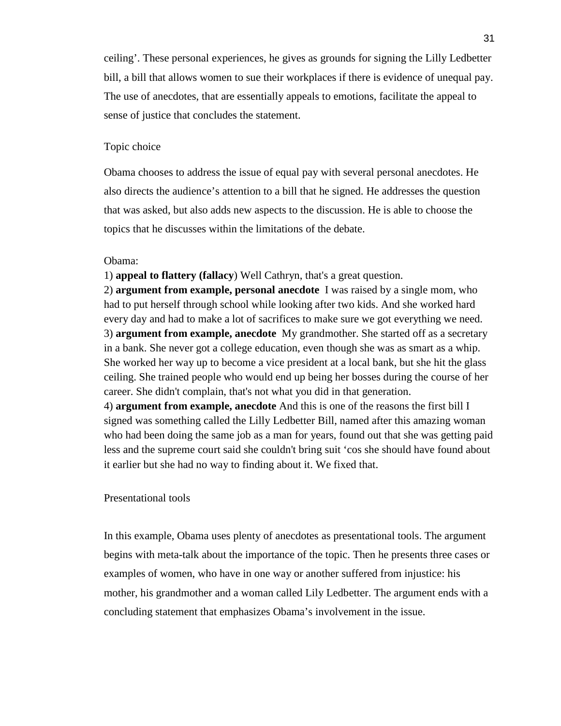ceiling'. These personal experiences, he gives as grounds for signing the Lilly Ledbetter bill, a bill that allows women to sue their workplaces if there is evidence of unequal pay. The use of anecdotes, that are essentially appeals to emotions, facilitate the appeal to sense of justice that concludes the statement.

## Topic choice

Obama chooses to address the issue of equal pay with several personal anecdotes. He also directs the audience's attention to a bill that he signed. He addresses the question that was asked, but also adds new aspects to the discussion. He is able to choose the topics that he discusses within the limitations of the debate.

## Obama:

1) **appeal to flattery (fallacy**) Well Cathryn, that's a great question.

2) **argument from example, personal anecdote** I was raised by a single mom, who had to put herself through school while looking after two kids. And she worked hard every day and had to make a lot of sacrifices to make sure we got everything we need. 3) **argument from example, anecdote** My grandmother. She started off as a secretary in a bank. She never got a college education, even though she was as smart as a whip. She worked her way up to become a vice president at a local bank, but she hit the glass ceiling. She trained people who would end up being her bosses during the course of her career. She didn't complain, that's not what you did in that generation.

4) **argument from example, anecdote** And this is one of the reasons the first bill I signed was something called the Lilly Ledbetter Bill, named after this amazing woman who had been doing the same job as a man for years, found out that she was getting paid less and the supreme court said she couldn't bring suit 'cos she should have found about it earlier but she had no way to finding about it. We fixed that.

#### Presentational tools

In this example, Obama uses plenty of anecdotes as presentational tools. The argument begins with meta-talk about the importance of the topic. Then he presents three cases or examples of women, who have in one way or another suffered from injustice: his mother, his grandmother and a woman called Lily Ledbetter. The argument ends with a concluding statement that emphasizes Obama's involvement in the issue.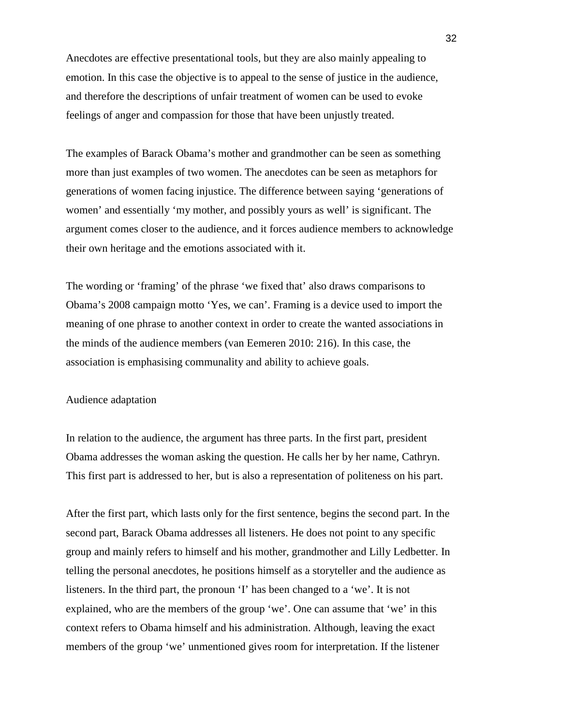Anecdotes are effective presentational tools, but they are also mainly appealing to emotion. In this case the objective is to appeal to the sense of justice in the audience, and therefore the descriptions of unfair treatment of women can be used to evoke feelings of anger and compassion for those that have been unjustly treated.

The examples of Barack Obama's mother and grandmother can be seen as something more than just examples of two women. The anecdotes can be seen as metaphors for generations of women facing injustice. The difference between saying 'generations of women' and essentially 'my mother, and possibly yours as well' is significant. The argument comes closer to the audience, and it forces audience members to acknowledge their own heritage and the emotions associated with it.

The wording or 'framing' of the phrase 'we fixed that' also draws comparisons to Obama's 2008 campaign motto 'Yes, we can'. Framing is a device used to import the meaning of one phrase to another context in order to create the wanted associations in the minds of the audience members (van Eemeren 2010: 216). In this case, the association is emphasising communality and ability to achieve goals.

### Audience adaptation

In relation to the audience, the argument has three parts. In the first part, president Obama addresses the woman asking the question. He calls her by her name, Cathryn. This first part is addressed to her, but is also a representation of politeness on his part.

After the first part, which lasts only for the first sentence, begins the second part. In the second part, Barack Obama addresses all listeners. He does not point to any specific group and mainly refers to himself and his mother, grandmother and Lilly Ledbetter. In telling the personal anecdotes, he positions himself as a storyteller and the audience as listeners. In the third part, the pronoun 'I' has been changed to a 'we'. It is not explained, who are the members of the group 'we'. One can assume that 'we' in this context refers to Obama himself and his administration. Although, leaving the exact members of the group 'we' unmentioned gives room for interpretation. If the listener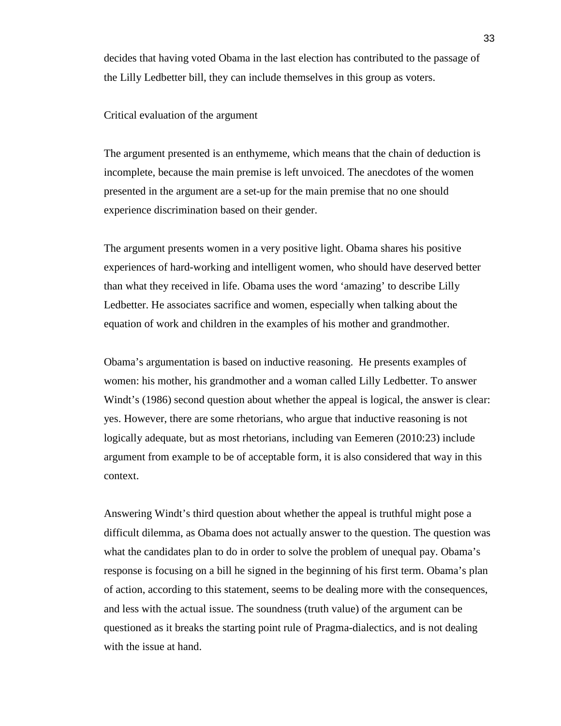decides that having voted Obama in the last election has contributed to the passage of the Lilly Ledbetter bill, they can include themselves in this group as voters.

## Critical evaluation of the argument

The argument presented is an enthymeme, which means that the chain of deduction is incomplete, because the main premise is left unvoiced. The anecdotes of the women presented in the argument are a set-up for the main premise that no one should experience discrimination based on their gender.

The argument presents women in a very positive light. Obama shares his positive experiences of hard-working and intelligent women, who should have deserved better than what they received in life. Obama uses the word 'amazing' to describe Lilly Ledbetter. He associates sacrifice and women, especially when talking about the equation of work and children in the examples of his mother and grandmother.

Obama's argumentation is based on inductive reasoning. He presents examples of women: his mother, his grandmother and a woman called Lilly Ledbetter. To answer Windt's (1986) second question about whether the appeal is logical, the answer is clear: yes. However, there are some rhetorians, who argue that inductive reasoning is not logically adequate, but as most rhetorians, including van Eemeren (2010:23) include argument from example to be of acceptable form, it is also considered that way in this context.

Answering Windt's third question about whether the appeal is truthful might pose a difficult dilemma, as Obama does not actually answer to the question. The question was what the candidates plan to do in order to solve the problem of unequal pay. Obama's response is focusing on a bill he signed in the beginning of his first term. Obama's plan of action, according to this statement, seems to be dealing more with the consequences, and less with the actual issue. The soundness (truth value) of the argument can be questioned as it breaks the starting point rule of Pragma-dialectics, and is not dealing with the issue at hand.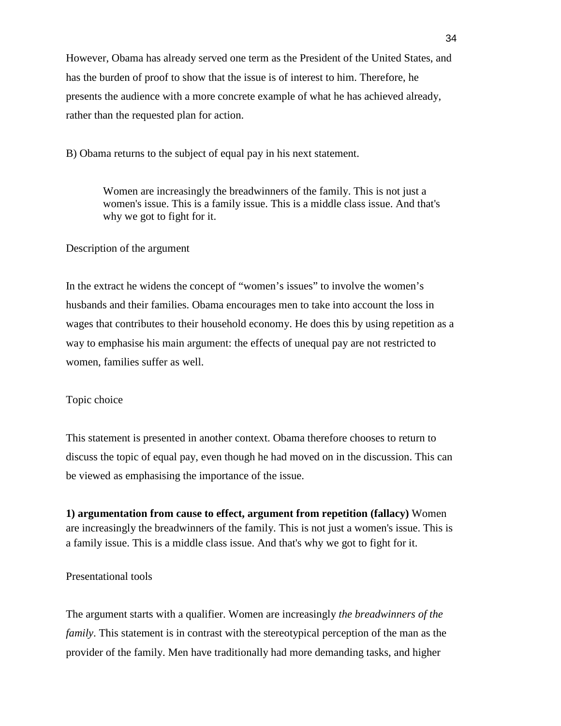However, Obama has already served one term as the President of the United States, and has the burden of proof to show that the issue is of interest to him. Therefore, he presents the audience with a more concrete example of what he has achieved already, rather than the requested plan for action.

B) Obama returns to the subject of equal pay in his next statement.

Women are increasingly the breadwinners of the family. This is not just a women's issue. This is a family issue. This is a middle class issue. And that's why we got to fight for it.

## Description of the argument

In the extract he widens the concept of "women's issues" to involve the women's husbands and their families. Obama encourages men to take into account the loss in wages that contributes to their household economy. He does this by using repetition as a way to emphasise his main argument: the effects of unequal pay are not restricted to women, families suffer as well.

## Topic choice

This statement is presented in another context. Obama therefore chooses to return to discuss the topic of equal pay, even though he had moved on in the discussion. This can be viewed as emphasising the importance of the issue.

**1) argumentation from cause to effect, argument from repetition (fallacy)** Women are increasingly the breadwinners of the family. This is not just a women's issue. This is a family issue. This is a middle class issue. And that's why we got to fight for it.

## Presentational tools

The argument starts with a qualifier. Women are increasingly *the breadwinners of the family*. This statement is in contrast with the stereotypical perception of the man as the provider of the family. Men have traditionally had more demanding tasks, and higher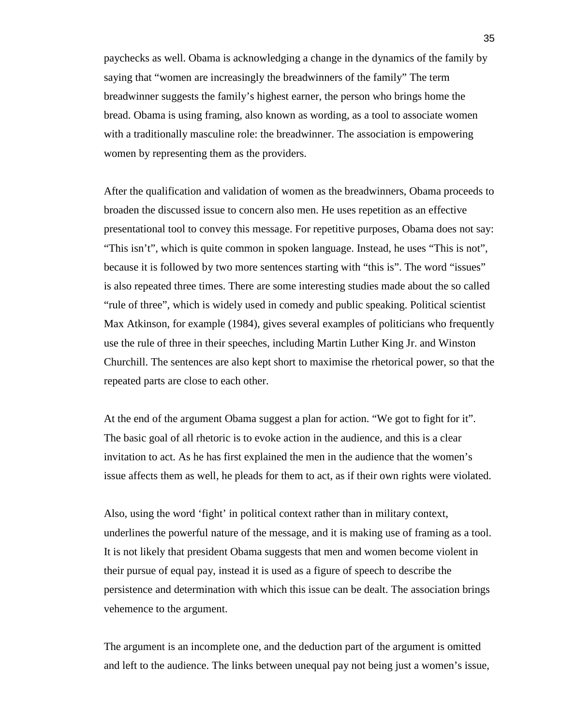paychecks as well. Obama is acknowledging a change in the dynamics of the family by saying that "women are increasingly the breadwinners of the family" The term breadwinner suggests the family's highest earner, the person who brings home the bread. Obama is using framing, also known as wording, as a tool to associate women with a traditionally masculine role: the breadwinner. The association is empowering women by representing them as the providers.

After the qualification and validation of women as the breadwinners, Obama proceeds to broaden the discussed issue to concern also men. He uses repetition as an effective presentational tool to convey this message. For repetitive purposes, Obama does not say: "This isn't", which is quite common in spoken language. Instead, he uses "This is not", because it is followed by two more sentences starting with "this is". The word "issues" is also repeated three times. There are some interesting studies made about the so called "rule of three", which is widely used in comedy and public speaking. Political scientist Max Atkinson, for example (1984), gives several examples of politicians who frequently use the rule of three in their speeches, including Martin Luther King Jr. and Winston Churchill. The sentences are also kept short to maximise the rhetorical power, so that the repeated parts are close to each other.

At the end of the argument Obama suggest a plan for action. "We got to fight for it". The basic goal of all rhetoric is to evoke action in the audience, and this is a clear invitation to act. As he has first explained the men in the audience that the women's issue affects them as well, he pleads for them to act, as if their own rights were violated.

Also, using the word 'fight' in political context rather than in military context, underlines the powerful nature of the message, and it is making use of framing as a tool. It is not likely that president Obama suggests that men and women become violent in their pursue of equal pay, instead it is used as a figure of speech to describe the persistence and determination with which this issue can be dealt. The association brings vehemence to the argument.

The argument is an incomplete one, and the deduction part of the argument is omitted and left to the audience. The links between unequal pay not being just a women's issue,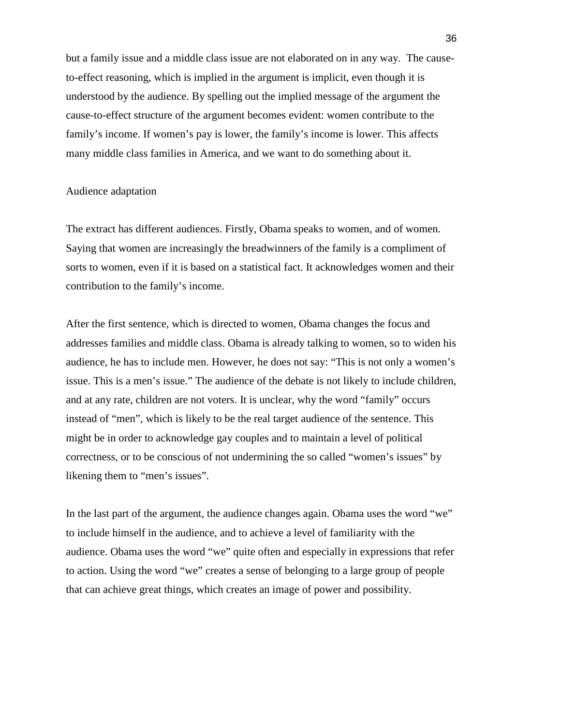but a family issue and a middle class issue are not elaborated on in any way. The causeto-effect reasoning, which is implied in the argument is implicit, even though it is understood by the audience. By spelling out the implied message of the argument the cause-to-effect structure of the argument becomes evident: women contribute to the family's income. If women's pay is lower, the family's income is lower. This affects many middle class families in America, and we want to do something about it.

## Audience adaptation

The extract has different audiences. Firstly, Obama speaks to women, and of women. Saying that women are increasingly the breadwinners of the family is a compliment of sorts to women, even if it is based on a statistical fact. It acknowledges women and their contribution to the family's income.

After the first sentence, which is directed to women, Obama changes the focus and addresses families and middle class. Obama is already talking to women, so to widen his audience, he has to include men. However, he does not say: "This is not only a women's issue. This is a men's issue." The audience of the debate is not likely to include children, and at any rate, children are not voters. It is unclear, why the word "family" occurs instead of "men", which is likely to be the real target audience of the sentence. This might be in order to acknowledge gay couples and to maintain a level of political correctness, or to be conscious of not undermining the so called "women's issues" by likening them to "men's issues".

In the last part of the argument, the audience changes again. Obama uses the word "we" to include himself in the audience, and to achieve a level of familiarity with the audience. Obama uses the word "we" quite often and especially in expressions that refer to action. Using the word "we" creates a sense of belonging to a large group of people that can achieve great things, which creates an image of power and possibility.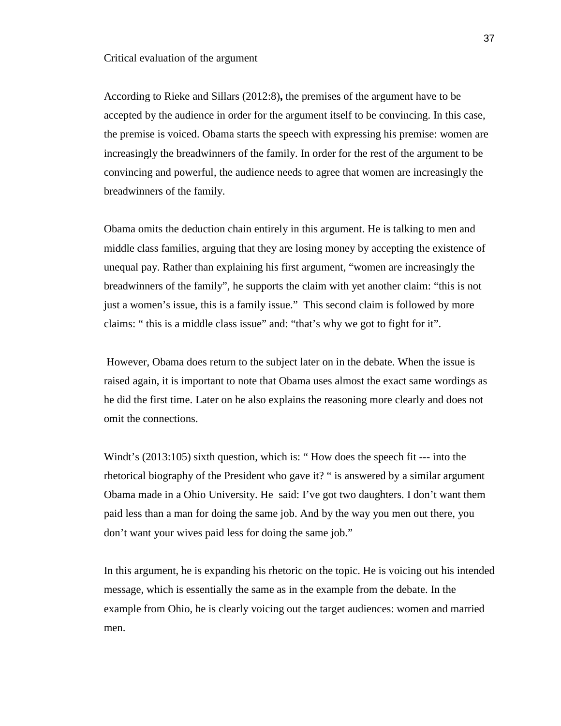#### Critical evaluation of the argument

According to Rieke and Sillars (2012:8)**,** the premises of the argument have to be accepted by the audience in order for the argument itself to be convincing. In this case, the premise is voiced. Obama starts the speech with expressing his premise: women are increasingly the breadwinners of the family. In order for the rest of the argument to be convincing and powerful, the audience needs to agree that women are increasingly the breadwinners of the family.

Obama omits the deduction chain entirely in this argument. He is talking to men and middle class families, arguing that they are losing money by accepting the existence of unequal pay. Rather than explaining his first argument, "women are increasingly the breadwinners of the family", he supports the claim with yet another claim: "this is not just a women's issue, this is a family issue." This second claim is followed by more claims: " this is a middle class issue" and: "that's why we got to fight for it".

 However, Obama does return to the subject later on in the debate. When the issue is raised again, it is important to note that Obama uses almost the exact same wordings as he did the first time. Later on he also explains the reasoning more clearly and does not omit the connections.

Windt's (2013:105) sixth question, which is: " How does the speech fit --- into the rhetorical biography of the President who gave it? " is answered by a similar argument Obama made in a Ohio University. He said: I've got two daughters. I don't want them paid less than a man for doing the same job. And by the way you men out there, you don't want your wives paid less for doing the same job."

In this argument, he is expanding his rhetoric on the topic. He is voicing out his intended message, which is essentially the same as in the example from the debate. In the example from Ohio, he is clearly voicing out the target audiences: women and married men.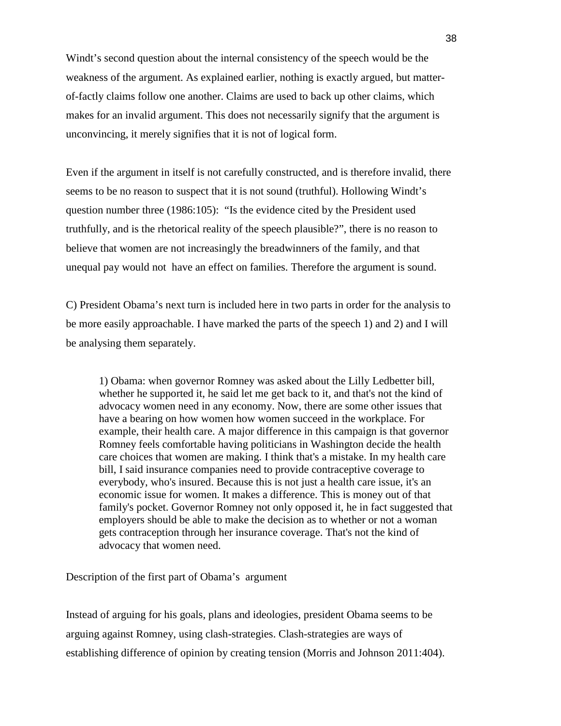Windt's second question about the internal consistency of the speech would be the weakness of the argument. As explained earlier, nothing is exactly argued, but matterof-factly claims follow one another. Claims are used to back up other claims, which makes for an invalid argument. This does not necessarily signify that the argument is unconvincing, it merely signifies that it is not of logical form.

Even if the argument in itself is not carefully constructed, and is therefore invalid, there seems to be no reason to suspect that it is not sound (truthful). Hollowing Windt's question number three (1986:105): "Is the evidence cited by the President used truthfully, and is the rhetorical reality of the speech plausible?", there is no reason to believe that women are not increasingly the breadwinners of the family, and that unequal pay would not have an effect on families. Therefore the argument is sound.

C) President Obama's next turn is included here in two parts in order for the analysis to be more easily approachable. I have marked the parts of the speech 1) and 2) and I will be analysing them separately.

1) Obama: when governor Romney was asked about the Lilly Ledbetter bill, whether he supported it, he said let me get back to it, and that's not the kind of advocacy women need in any economy. Now, there are some other issues that have a bearing on how women how women succeed in the workplace. For example, their health care. A major difference in this campaign is that governor Romney feels comfortable having politicians in Washington decide the health care choices that women are making. I think that's a mistake. In my health care bill, I said insurance companies need to provide contraceptive coverage to everybody, who's insured. Because this is not just a health care issue, it's an economic issue for women. It makes a difference. This is money out of that family's pocket. Governor Romney not only opposed it, he in fact suggested that employers should be able to make the decision as to whether or not a woman gets contraception through her insurance coverage. That's not the kind of advocacy that women need.

Description of the first part of Obama's argument

Instead of arguing for his goals, plans and ideologies, president Obama seems to be arguing against Romney, using clash-strategies. Clash-strategies are ways of establishing difference of opinion by creating tension (Morris and Johnson 2011:404).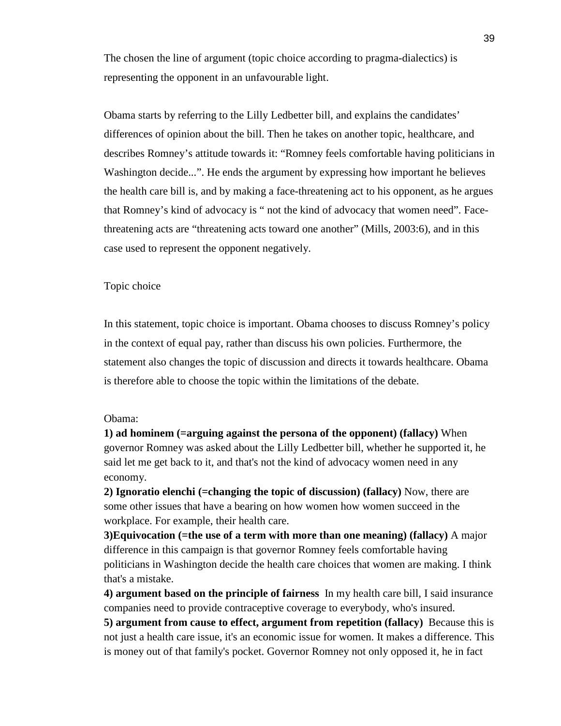The chosen the line of argument (topic choice according to pragma-dialectics) is representing the opponent in an unfavourable light.

Obama starts by referring to the Lilly Ledbetter bill, and explains the candidates' differences of opinion about the bill. Then he takes on another topic, healthcare, and describes Romney's attitude towards it: "Romney feels comfortable having politicians in Washington decide...". He ends the argument by expressing how important he believes the health care bill is, and by making a face-threatening act to his opponent, as he argues that Romney's kind of advocacy is " not the kind of advocacy that women need". Facethreatening acts are "threatening acts toward one another" (Mills, 2003:6), and in this case used to represent the opponent negatively.

#### Topic choice

In this statement, topic choice is important. Obama chooses to discuss Romney's policy in the context of equal pay, rather than discuss his own policies. Furthermore, the statement also changes the topic of discussion and directs it towards healthcare. Obama is therefore able to choose the topic within the limitations of the debate.

### Obama:

**1) ad hominem (=arguing against the persona of the opponent) (fallacy)** When governor Romney was asked about the Lilly Ledbetter bill, whether he supported it, he said let me get back to it, and that's not the kind of advocacy women need in any economy.

**2) Ignoratio elenchi (=changing the topic of discussion) (fallacy)** Now, there are some other issues that have a bearing on how women how women succeed in the workplace. For example, their health care.

**3)Equivocation (=the use of a term with more than one meaning) (fallacy)** A major difference in this campaign is that governor Romney feels comfortable having politicians in Washington decide the health care choices that women are making. I think that's a mistake.

**4) argument based on the principle of fairness** In my health care bill, I said insurance companies need to provide contraceptive coverage to everybody, who's insured.

**5) argument from cause to effect, argument from repetition (fallacy)** Because this is not just a health care issue, it's an economic issue for women. It makes a difference. This is money out of that family's pocket. Governor Romney not only opposed it, he in fact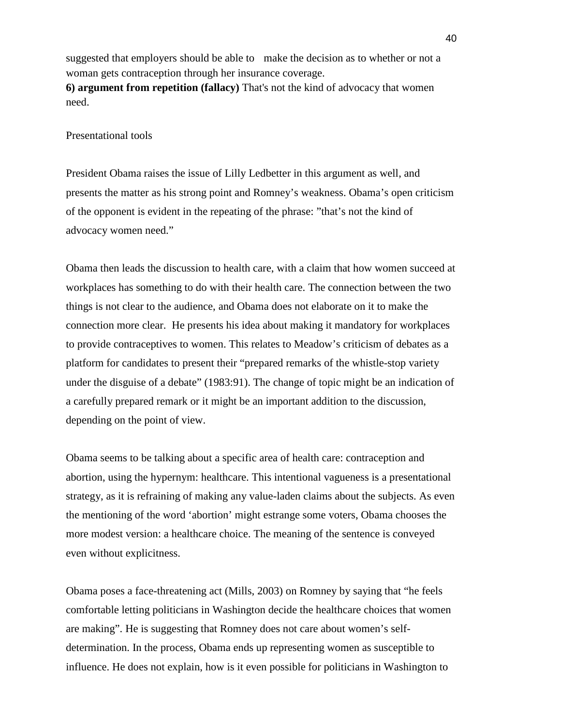suggested that employers should be able to make the decision as to whether or not a woman gets contraception through her insurance coverage. **6) argument from repetition (fallacy)** That's not the kind of advocacy that women need.

## Presentational tools

President Obama raises the issue of Lilly Ledbetter in this argument as well, and presents the matter as his strong point and Romney's weakness. Obama's open criticism of the opponent is evident in the repeating of the phrase: "that's not the kind of advocacy women need."

Obama then leads the discussion to health care, with a claim that how women succeed at workplaces has something to do with their health care. The connection between the two things is not clear to the audience, and Obama does not elaborate on it to make the connection more clear. He presents his idea about making it mandatory for workplaces to provide contraceptives to women. This relates to Meadow's criticism of debates as a platform for candidates to present their "prepared remarks of the whistle-stop variety under the disguise of a debate" (1983:91). The change of topic might be an indication of a carefully prepared remark or it might be an important addition to the discussion, depending on the point of view.

Obama seems to be talking about a specific area of health care: contraception and abortion, using the hypernym: healthcare. This intentional vagueness is a presentational strategy, as it is refraining of making any value-laden claims about the subjects. As even the mentioning of the word 'abortion' might estrange some voters, Obama chooses the more modest version: a healthcare choice. The meaning of the sentence is conveyed even without explicitness.

Obama poses a face-threatening act (Mills, 2003) on Romney by saying that "he feels comfortable letting politicians in Washington decide the healthcare choices that women are making". He is suggesting that Romney does not care about women's selfdetermination. In the process, Obama ends up representing women as susceptible to influence. He does not explain, how is it even possible for politicians in Washington to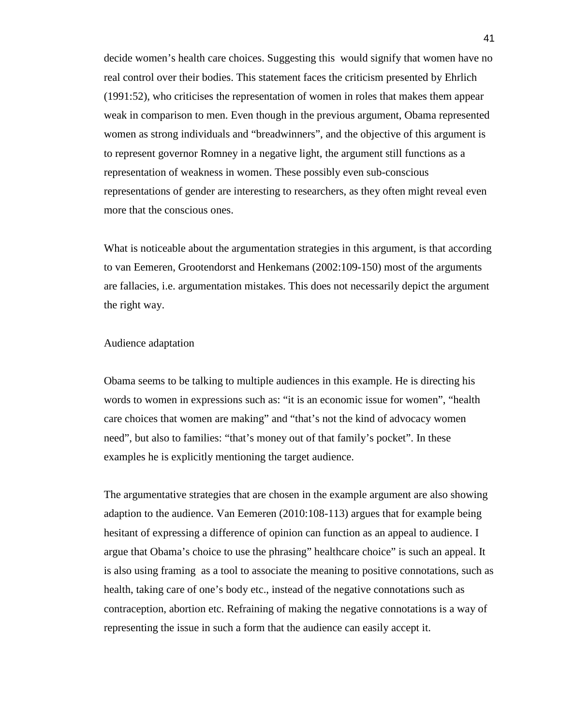decide women's health care choices. Suggesting this would signify that women have no real control over their bodies. This statement faces the criticism presented by Ehrlich (1991:52), who criticises the representation of women in roles that makes them appear weak in comparison to men. Even though in the previous argument, Obama represented women as strong individuals and "breadwinners", and the objective of this argument is to represent governor Romney in a negative light, the argument still functions as a representation of weakness in women. These possibly even sub-conscious representations of gender are interesting to researchers, as they often might reveal even more that the conscious ones.

What is noticeable about the argumentation strategies in this argument, is that according to van Eemeren, Grootendorst and Henkemans (2002:109-150) most of the arguments are fallacies, i.e. argumentation mistakes. This does not necessarily depict the argument the right way.

### Audience adaptation

Obama seems to be talking to multiple audiences in this example. He is directing his words to women in expressions such as: "it is an economic issue for women", "health care choices that women are making" and "that's not the kind of advocacy women need", but also to families: "that's money out of that family's pocket". In these examples he is explicitly mentioning the target audience.

The argumentative strategies that are chosen in the example argument are also showing adaption to the audience. Van Eemeren (2010:108-113) argues that for example being hesitant of expressing a difference of opinion can function as an appeal to audience. I argue that Obama's choice to use the phrasing" healthcare choice" is such an appeal. It is also using framing as a tool to associate the meaning to positive connotations, such as health, taking care of one's body etc., instead of the negative connotations such as contraception, abortion etc. Refraining of making the negative connotations is a way of representing the issue in such a form that the audience can easily accept it.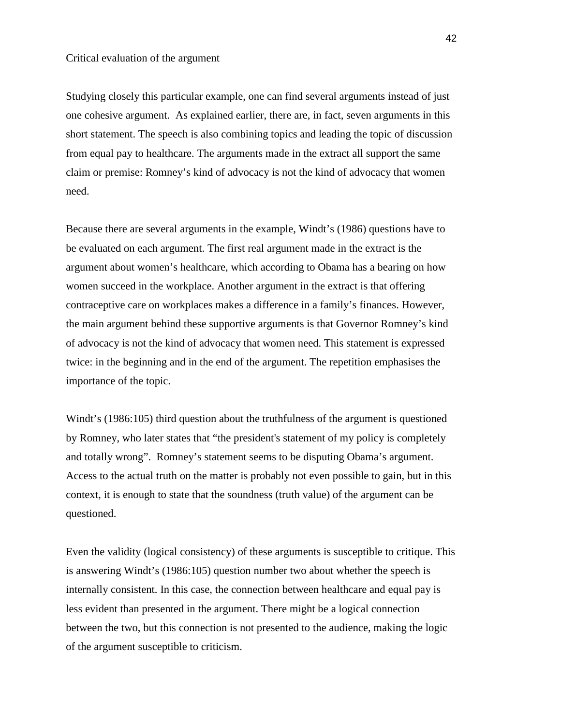## Critical evaluation of the argument

Studying closely this particular example, one can find several arguments instead of just one cohesive argument. As explained earlier, there are, in fact, seven arguments in this short statement. The speech is also combining topics and leading the topic of discussion from equal pay to healthcare. The arguments made in the extract all support the same claim or premise: Romney's kind of advocacy is not the kind of advocacy that women need.

Because there are several arguments in the example, Windt's (1986) questions have to be evaluated on each argument. The first real argument made in the extract is the argument about women's healthcare, which according to Obama has a bearing on how women succeed in the workplace. Another argument in the extract is that offering contraceptive care on workplaces makes a difference in a family's finances. However, the main argument behind these supportive arguments is that Governor Romney's kind of advocacy is not the kind of advocacy that women need. This statement is expressed twice: in the beginning and in the end of the argument. The repetition emphasises the importance of the topic.

Windt's (1986:105) third question about the truthfulness of the argument is questioned by Romney, who later states that "the president's statement of my policy is completely and totally wrong". Romney's statement seems to be disputing Obama's argument. Access to the actual truth on the matter is probably not even possible to gain, but in this context, it is enough to state that the soundness (truth value) of the argument can be questioned.

Even the validity (logical consistency) of these arguments is susceptible to critique. This is answering Windt's (1986:105) question number two about whether the speech is internally consistent. In this case, the connection between healthcare and equal pay is less evident than presented in the argument. There might be a logical connection between the two, but this connection is not presented to the audience, making the logic of the argument susceptible to criticism.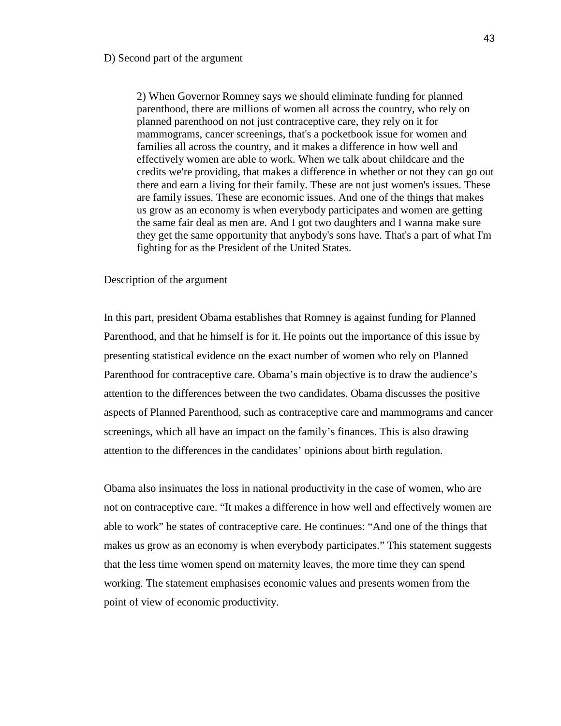#### D) Second part of the argument

2) When Governor Romney says we should eliminate funding for planned parenthood, there are millions of women all across the country, who rely on planned parenthood on not just contraceptive care, they rely on it for mammograms, cancer screenings, that's a pocketbook issue for women and families all across the country, and it makes a difference in how well and effectively women are able to work. When we talk about childcare and the credits we're providing, that makes a difference in whether or not they can go out there and earn a living for their family. These are not just women's issues. These are family issues. These are economic issues. And one of the things that makes us grow as an economy is when everybody participates and women are getting the same fair deal as men are. And I got two daughters and I wanna make sure they get the same opportunity that anybody's sons have. That's a part of what I'm fighting for as the President of the United States.

### Description of the argument

In this part, president Obama establishes that Romney is against funding for Planned Parenthood, and that he himself is for it. He points out the importance of this issue by presenting statistical evidence on the exact number of women who rely on Planned Parenthood for contraceptive care. Obama's main objective is to draw the audience's attention to the differences between the two candidates. Obama discusses the positive aspects of Planned Parenthood, such as contraceptive care and mammograms and cancer screenings, which all have an impact on the family's finances. This is also drawing attention to the differences in the candidates' opinions about birth regulation.

Obama also insinuates the loss in national productivity in the case of women, who are not on contraceptive care. "It makes a difference in how well and effectively women are able to work" he states of contraceptive care. He continues: "And one of the things that makes us grow as an economy is when everybody participates." This statement suggests that the less time women spend on maternity leaves, the more time they can spend working. The statement emphasises economic values and presents women from the point of view of economic productivity.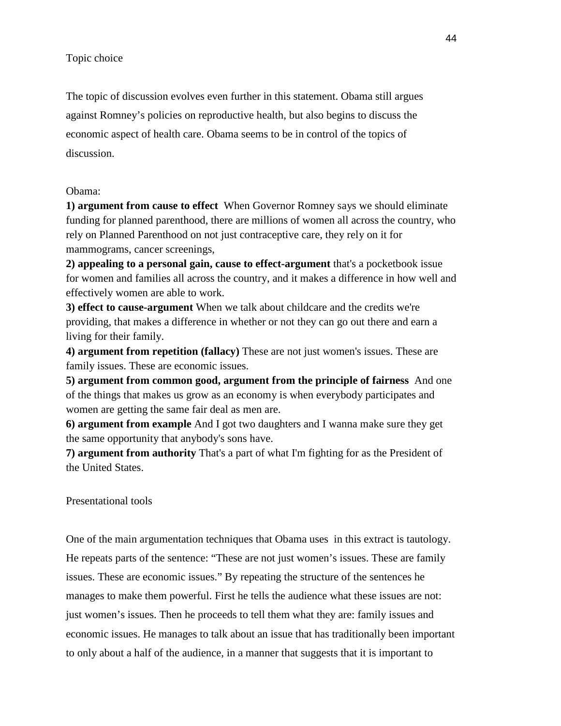Topic choice

The topic of discussion evolves even further in this statement. Obama still argues against Romney's policies on reproductive health, but also begins to discuss the economic aspect of health care. Obama seems to be in control of the topics of discussion.

## Obama:

**1) argument from cause to effect** When Governor Romney says we should eliminate funding for planned parenthood, there are millions of women all across the country, who rely on Planned Parenthood on not just contraceptive care, they rely on it for mammograms, cancer screenings,

**2) appealing to a personal gain, cause to effect-argument** that's a pocketbook issue for women and families all across the country, and it makes a difference in how well and effectively women are able to work.

**3) effect to cause-argument** When we talk about childcare and the credits we're providing, that makes a difference in whether or not they can go out there and earn a living for their family.

**4) argument from repetition (fallacy)** These are not just women's issues. These are family issues. These are economic issues.

**5) argument from common good, argument from the principle of fairness** And one of the things that makes us grow as an economy is when everybody participates and women are getting the same fair deal as men are.

**6) argument from example** And I got two daughters and I wanna make sure they get the same opportunity that anybody's sons have.

**7) argument from authority** That's a part of what I'm fighting for as the President of the United States.

Presentational tools

One of the main argumentation techniques that Obama uses in this extract is tautology. He repeats parts of the sentence: "These are not just women's issues. These are family issues. These are economic issues." By repeating the structure of the sentences he manages to make them powerful. First he tells the audience what these issues are not: just women's issues. Then he proceeds to tell them what they are: family issues and economic issues. He manages to talk about an issue that has traditionally been important to only about a half of the audience, in a manner that suggests that it is important to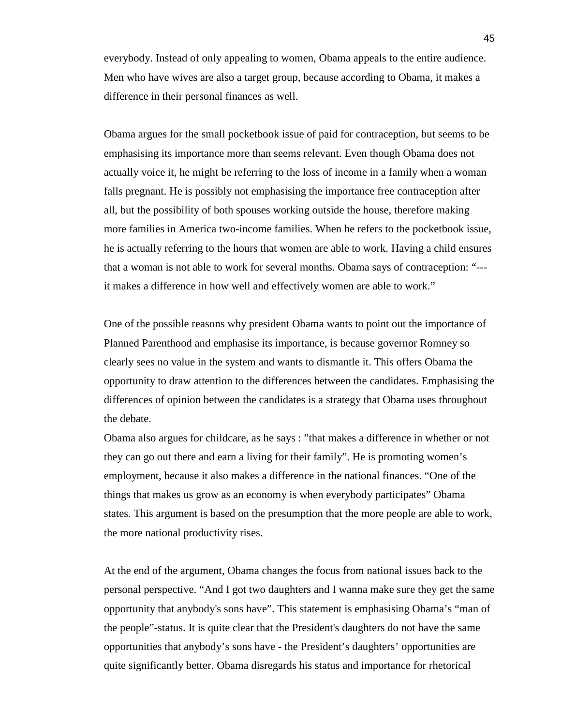everybody. Instead of only appealing to women, Obama appeals to the entire audience. Men who have wives are also a target group, because according to Obama, it makes a difference in their personal finances as well.

Obama argues for the small pocketbook issue of paid for contraception, but seems to be emphasising its importance more than seems relevant. Even though Obama does not actually voice it, he might be referring to the loss of income in a family when a woman falls pregnant. He is possibly not emphasising the importance free contraception after all, but the possibility of both spouses working outside the house, therefore making more families in America two-income families. When he refers to the pocketbook issue, he is actually referring to the hours that women are able to work. Having a child ensures that a woman is not able to work for several months. Obama says of contraception: "-- it makes a difference in how well and effectively women are able to work."

One of the possible reasons why president Obama wants to point out the importance of Planned Parenthood and emphasise its importance, is because governor Romney so clearly sees no value in the system and wants to dismantle it. This offers Obama the opportunity to draw attention to the differences between the candidates. Emphasising the differences of opinion between the candidates is a strategy that Obama uses throughout the debate.

Obama also argues for childcare, as he says : "that makes a difference in whether or not they can go out there and earn a living for their family". He is promoting women's employment, because it also makes a difference in the national finances. "One of the things that makes us grow as an economy is when everybody participates" Obama states. This argument is based on the presumption that the more people are able to work, the more national productivity rises.

At the end of the argument, Obama changes the focus from national issues back to the personal perspective. "And I got two daughters and I wanna make sure they get the same opportunity that anybody's sons have". This statement is emphasising Obama's "man of the people"-status. It is quite clear that the President's daughters do not have the same opportunities that anybody's sons have - the President's daughters' opportunities are quite significantly better. Obama disregards his status and importance for rhetorical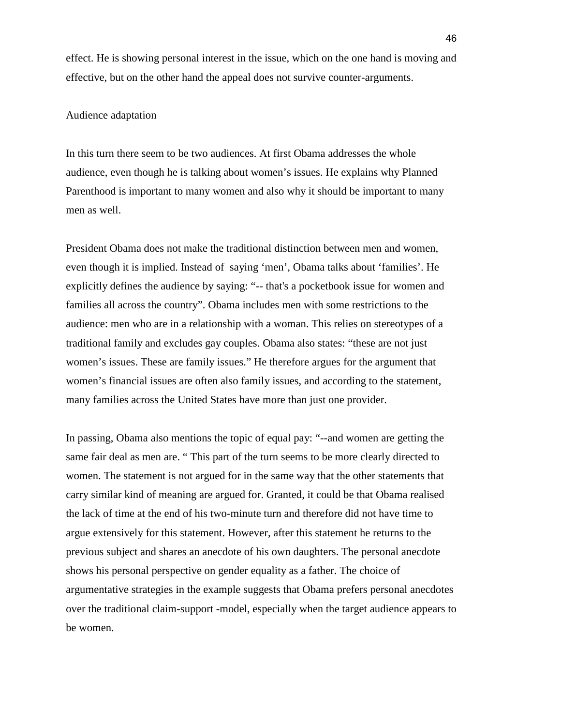effect. He is showing personal interest in the issue, which on the one hand is moving and effective, but on the other hand the appeal does not survive counter-arguments.

## Audience adaptation

In this turn there seem to be two audiences. At first Obama addresses the whole audience, even though he is talking about women's issues. He explains why Planned Parenthood is important to many women and also why it should be important to many men as well.

President Obama does not make the traditional distinction between men and women, even though it is implied. Instead of saying 'men', Obama talks about 'families'. He explicitly defines the audience by saying: "-- that's a pocketbook issue for women and families all across the country". Obama includes men with some restrictions to the audience: men who are in a relationship with a woman. This relies on stereotypes of a traditional family and excludes gay couples. Obama also states: "these are not just women's issues. These are family issues." He therefore argues for the argument that women's financial issues are often also family issues, and according to the statement, many families across the United States have more than just one provider.

In passing, Obama also mentions the topic of equal pay: "--and women are getting the same fair deal as men are. " This part of the turn seems to be more clearly directed to women. The statement is not argued for in the same way that the other statements that carry similar kind of meaning are argued for. Granted, it could be that Obama realised the lack of time at the end of his two-minute turn and therefore did not have time to argue extensively for this statement. However, after this statement he returns to the previous subject and shares an anecdote of his own daughters. The personal anecdote shows his personal perspective on gender equality as a father. The choice of argumentative strategies in the example suggests that Obama prefers personal anecdotes over the traditional claim-support -model, especially when the target audience appears to be women.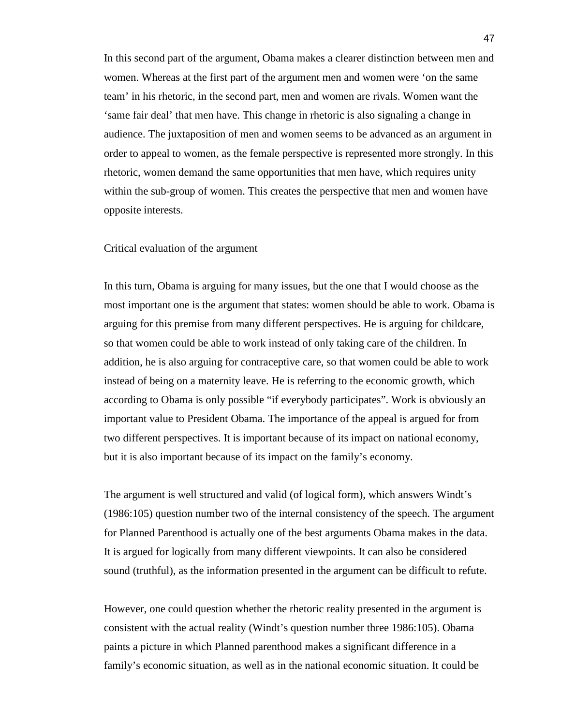In this second part of the argument, Obama makes a clearer distinction between men and women. Whereas at the first part of the argument men and women were 'on the same team' in his rhetoric, in the second part, men and women are rivals. Women want the 'same fair deal' that men have. This change in rhetoric is also signaling a change in audience. The juxtaposition of men and women seems to be advanced as an argument in order to appeal to women, as the female perspective is represented more strongly. In this rhetoric, women demand the same opportunities that men have, which requires unity within the sub-group of women. This creates the perspective that men and women have opposite interests.

## Critical evaluation of the argument

In this turn, Obama is arguing for many issues, but the one that I would choose as the most important one is the argument that states: women should be able to work. Obama is arguing for this premise from many different perspectives. He is arguing for childcare, so that women could be able to work instead of only taking care of the children. In addition, he is also arguing for contraceptive care, so that women could be able to work instead of being on a maternity leave. He is referring to the economic growth, which according to Obama is only possible "if everybody participates". Work is obviously an important value to President Obama. The importance of the appeal is argued for from two different perspectives. It is important because of its impact on national economy, but it is also important because of its impact on the family's economy.

The argument is well structured and valid (of logical form), which answers Windt's (1986:105) question number two of the internal consistency of the speech. The argument for Planned Parenthood is actually one of the best arguments Obama makes in the data. It is argued for logically from many different viewpoints. It can also be considered sound (truthful), as the information presented in the argument can be difficult to refute.

However, one could question whether the rhetoric reality presented in the argument is consistent with the actual reality (Windt's question number three 1986:105). Obama paints a picture in which Planned parenthood makes a significant difference in a family's economic situation, as well as in the national economic situation. It could be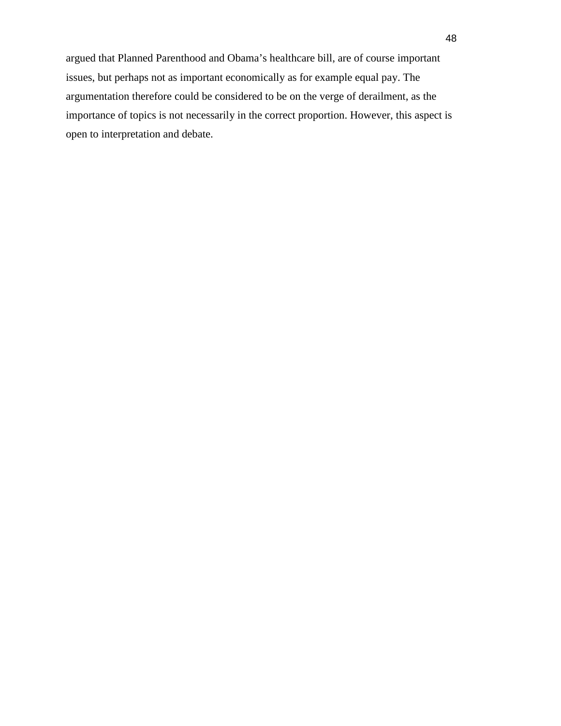argued that Planned Parenthood and Obama's healthcare bill, are of course important issues, but perhaps not as important economically as for example equal pay. The argumentation therefore could be considered to be on the verge of derailment, as the importance of topics is not necessarily in the correct proportion. However, this aspect is open to interpretation and debate.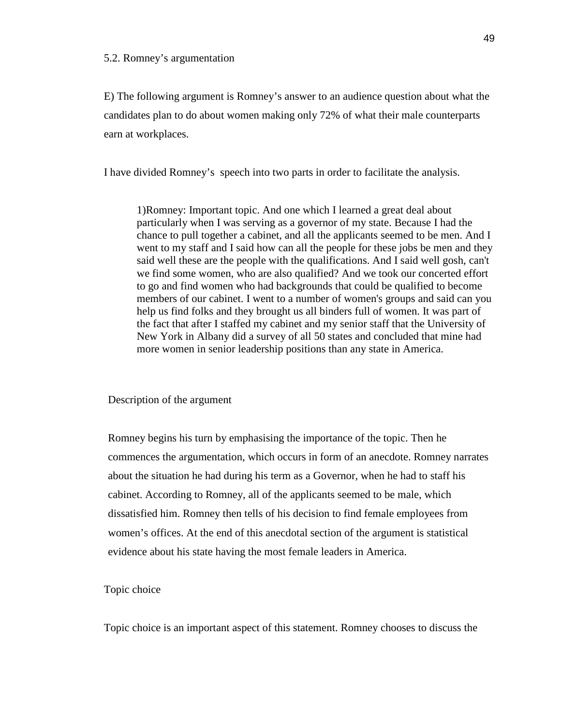#### 5.2. Romney's argumentation

E) The following argument is Romney's answer to an audience question about what the candidates plan to do about women making only 72% of what their male counterparts earn at workplaces.

I have divided Romney's speech into two parts in order to facilitate the analysis.

1)Romney: Important topic. And one which I learned a great deal about particularly when I was serving as a governor of my state. Because I had the chance to pull together a cabinet, and all the applicants seemed to be men. And I went to my staff and I said how can all the people for these jobs be men and they said well these are the people with the qualifications. And I said well gosh, can't we find some women, who are also qualified? And we took our concerted effort to go and find women who had backgrounds that could be qualified to become members of our cabinet. I went to a number of women's groups and said can you help us find folks and they brought us all binders full of women. It was part of the fact that after I staffed my cabinet and my senior staff that the University of New York in Albany did a survey of all 50 states and concluded that mine had more women in senior leadership positions than any state in America.

Description of the argument

Romney begins his turn by emphasising the importance of the topic. Then he commences the argumentation, which occurs in form of an anecdote. Romney narrates about the situation he had during his term as a Governor, when he had to staff his cabinet. According to Romney, all of the applicants seemed to be male, which dissatisfied him. Romney then tells of his decision to find female employees from women's offices. At the end of this anecdotal section of the argument is statistical evidence about his state having the most female leaders in America.

# Topic choice

Topic choice is an important aspect of this statement. Romney chooses to discuss the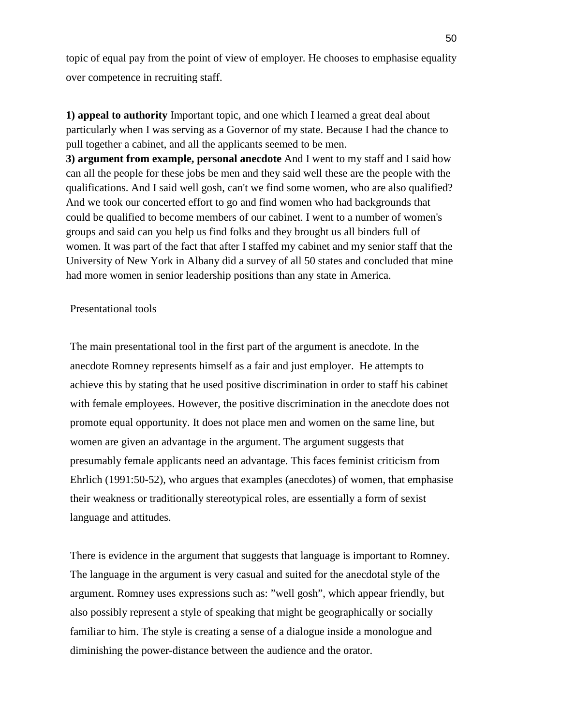topic of equal pay from the point of view of employer. He chooses to emphasise equality over competence in recruiting staff.

**1) appeal to authority** Important topic, and one which I learned a great deal about particularly when I was serving as a Governor of my state. Because I had the chance to pull together a cabinet, and all the applicants seemed to be men.

**3) argument from example, personal anecdote** And I went to my staff and I said how can all the people for these jobs be men and they said well these are the people with the qualifications. And I said well gosh, can't we find some women, who are also qualified? And we took our concerted effort to go and find women who had backgrounds that could be qualified to become members of our cabinet. I went to a number of women's groups and said can you help us find folks and they brought us all binders full of women. It was part of the fact that after I staffed my cabinet and my senior staff that the University of New York in Albany did a survey of all 50 states and concluded that mine had more women in senior leadership positions than any state in America.

## Presentational tools

The main presentational tool in the first part of the argument is anecdote. In the anecdote Romney represents himself as a fair and just employer. He attempts to achieve this by stating that he used positive discrimination in order to staff his cabinet with female employees. However, the positive discrimination in the anecdote does not promote equal opportunity. It does not place men and women on the same line, but women are given an advantage in the argument. The argument suggests that presumably female applicants need an advantage. This faces feminist criticism from Ehrlich (1991:50-52), who argues that examples (anecdotes) of women, that emphasise their weakness or traditionally stereotypical roles, are essentially a form of sexist language and attitudes.

There is evidence in the argument that suggests that language is important to Romney. The language in the argument is very casual and suited for the anecdotal style of the argument. Romney uses expressions such as: "well gosh", which appear friendly, but also possibly represent a style of speaking that might be geographically or socially familiar to him. The style is creating a sense of a dialogue inside a monologue and diminishing the power-distance between the audience and the orator.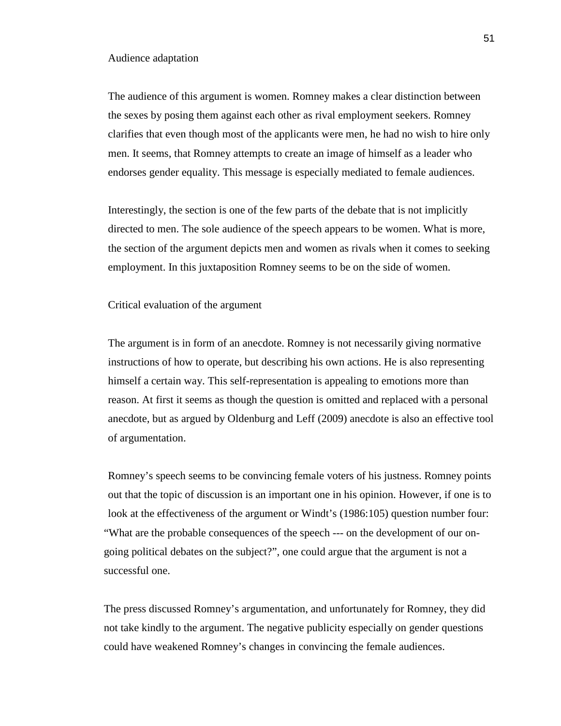#### Audience adaptation

The audience of this argument is women. Romney makes a clear distinction between the sexes by posing them against each other as rival employment seekers. Romney clarifies that even though most of the applicants were men, he had no wish to hire only men. It seems, that Romney attempts to create an image of himself as a leader who endorses gender equality. This message is especially mediated to female audiences.

Interestingly, the section is one of the few parts of the debate that is not implicitly directed to men. The sole audience of the speech appears to be women. What is more, the section of the argument depicts men and women as rivals when it comes to seeking employment. In this juxtaposition Romney seems to be on the side of women.

#### Critical evaluation of the argument

The argument is in form of an anecdote. Romney is not necessarily giving normative instructions of how to operate, but describing his own actions. He is also representing himself a certain way. This self-representation is appealing to emotions more than reason. At first it seems as though the question is omitted and replaced with a personal anecdote, but as argued by Oldenburg and Leff (2009) anecdote is also an effective tool of argumentation.

Romney's speech seems to be convincing female voters of his justness. Romney points out that the topic of discussion is an important one in his opinion. However, if one is to look at the effectiveness of the argument or Windt's (1986:105) question number four: "What are the probable consequences of the speech --- on the development of our ongoing political debates on the subject?", one could argue that the argument is not a successful one.

The press discussed Romney's argumentation, and unfortunately for Romney, they did not take kindly to the argument. The negative publicity especially on gender questions could have weakened Romney's changes in convincing the female audiences.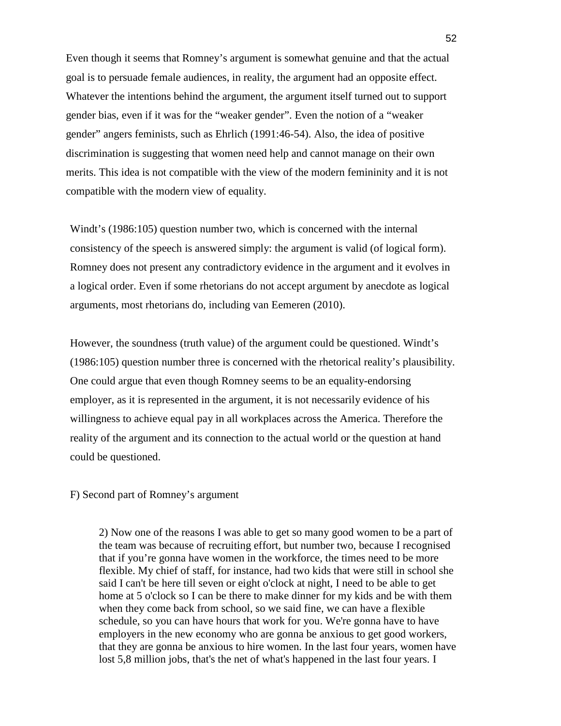Even though it seems that Romney's argument is somewhat genuine and that the actual goal is to persuade female audiences, in reality, the argument had an opposite effect. Whatever the intentions behind the argument, the argument itself turned out to support gender bias, even if it was for the "weaker gender". Even the notion of a "weaker gender" angers feminists, such as Ehrlich (1991:46-54). Also, the idea of positive discrimination is suggesting that women need help and cannot manage on their own merits. This idea is not compatible with the view of the modern femininity and it is not compatible with the modern view of equality.

Windt's (1986:105) question number two, which is concerned with the internal consistency of the speech is answered simply: the argument is valid (of logical form). Romney does not present any contradictory evidence in the argument and it evolves in a logical order. Even if some rhetorians do not accept argument by anecdote as logical arguments, most rhetorians do, including van Eemeren (2010).

However, the soundness (truth value) of the argument could be questioned. Windt's (1986:105) question number three is concerned with the rhetorical reality's plausibility. One could argue that even though Romney seems to be an equality-endorsing employer, as it is represented in the argument, it is not necessarily evidence of his willingness to achieve equal pay in all workplaces across the America. Therefore the reality of the argument and its connection to the actual world or the question at hand could be questioned.

F) Second part of Romney's argument

2) Now one of the reasons I was able to get so many good women to be a part of the team was because of recruiting effort, but number two, because I recognised that if you're gonna have women in the workforce, the times need to be more flexible. My chief of staff, for instance, had two kids that were still in school she said I can't be here till seven or eight o'clock at night, I need to be able to get home at 5 o'clock so I can be there to make dinner for my kids and be with them when they come back from school, so we said fine, we can have a flexible schedule, so you can have hours that work for you. We're gonna have to have employers in the new economy who are gonna be anxious to get good workers, that they are gonna be anxious to hire women. In the last four years, women have lost 5,8 million jobs, that's the net of what's happened in the last four years. I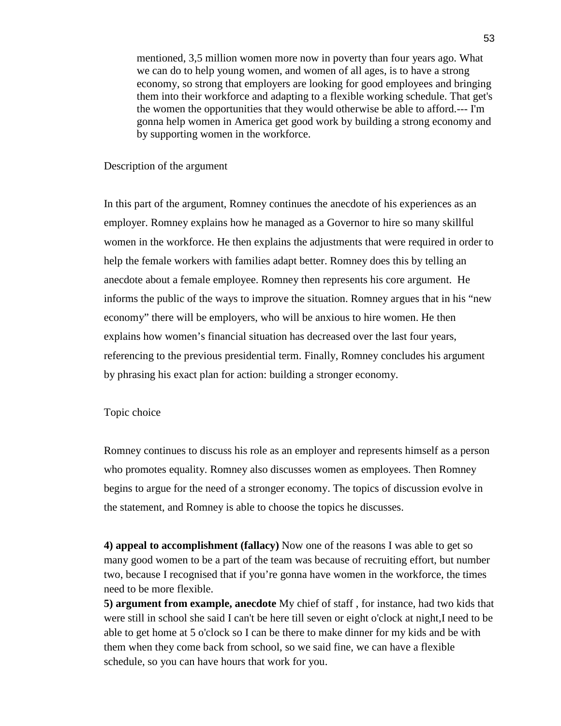mentioned, 3,5 million women more now in poverty than four years ago. What we can do to help young women, and women of all ages, is to have a strong economy, so strong that employers are looking for good employees and bringing them into their workforce and adapting to a flexible working schedule. That get's the women the opportunities that they would otherwise be able to afford.--- I'm gonna help women in America get good work by building a strong economy and by supporting women in the workforce.

### Description of the argument

In this part of the argument, Romney continues the anecdote of his experiences as an employer. Romney explains how he managed as a Governor to hire so many skillful women in the workforce. He then explains the adjustments that were required in order to help the female workers with families adapt better. Romney does this by telling an anecdote about a female employee. Romney then represents his core argument. He informs the public of the ways to improve the situation. Romney argues that in his "new economy" there will be employers, who will be anxious to hire women. He then explains how women's financial situation has decreased over the last four years, referencing to the previous presidential term. Finally, Romney concludes his argument by phrasing his exact plan for action: building a stronger economy.

#### Topic choice

Romney continues to discuss his role as an employer and represents himself as a person who promotes equality. Romney also discusses women as employees. Then Romney begins to argue for the need of a stronger economy. The topics of discussion evolve in the statement, and Romney is able to choose the topics he discusses.

**4) appeal to accomplishment (fallacy)** Now one of the reasons I was able to get so many good women to be a part of the team was because of recruiting effort, but number two, because I recognised that if you're gonna have women in the workforce, the times need to be more flexible.

**5) argument from example, anecdote** My chief of staff , for instance, had two kids that were still in school she said I can't be here till seven or eight o'clock at night,I need to be able to get home at 5 o'clock so I can be there to make dinner for my kids and be with them when they come back from school, so we said fine, we can have a flexible schedule, so you can have hours that work for you.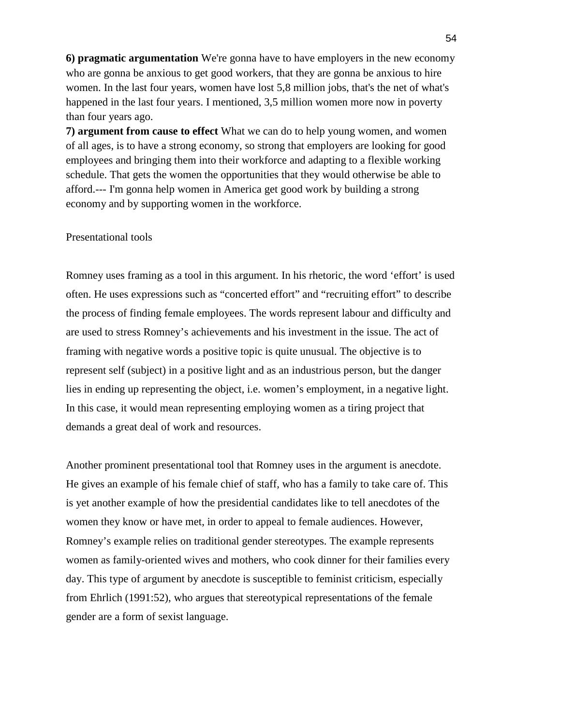**6) pragmatic argumentation** We're gonna have to have employers in the new economy who are gonna be anxious to get good workers, that they are gonna be anxious to hire women. In the last four years, women have lost 5,8 million jobs, that's the net of what's happened in the last four years. I mentioned, 3,5 million women more now in poverty than four years ago.

**7) argument from cause to effect** What we can do to help young women, and women of all ages, is to have a strong economy, so strong that employers are looking for good employees and bringing them into their workforce and adapting to a flexible working schedule. That gets the women the opportunities that they would otherwise be able to afford.--- I'm gonna help women in America get good work by building a strong economy and by supporting women in the workforce.

# Presentational tools

Romney uses framing as a tool in this argument. In his rhetoric, the word 'effort' is used often. He uses expressions such as "concerted effort" and "recruiting effort" to describe the process of finding female employees. The words represent labour and difficulty and are used to stress Romney's achievements and his investment in the issue. The act of framing with negative words a positive topic is quite unusual. The objective is to represent self (subject) in a positive light and as an industrious person, but the danger lies in ending up representing the object, i.e. women's employment, in a negative light. In this case, it would mean representing employing women as a tiring project that demands a great deal of work and resources.

Another prominent presentational tool that Romney uses in the argument is anecdote. He gives an example of his female chief of staff, who has a family to take care of. This is yet another example of how the presidential candidates like to tell anecdotes of the women they know or have met, in order to appeal to female audiences. However, Romney's example relies on traditional gender stereotypes. The example represents women as family-oriented wives and mothers, who cook dinner for their families every day. This type of argument by anecdote is susceptible to feminist criticism, especially from Ehrlich (1991:52), who argues that stereotypical representations of the female gender are a form of sexist language.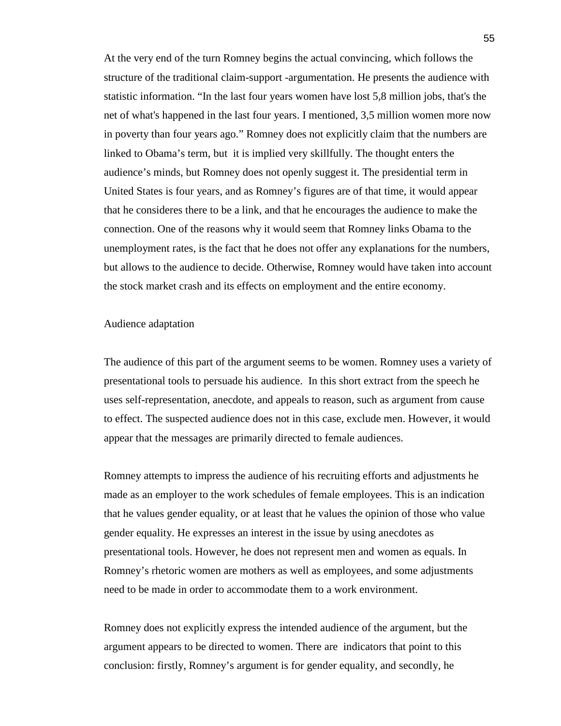At the very end of the turn Romney begins the actual convincing, which follows the structure of the traditional claim-support -argumentation. He presents the audience with statistic information. "In the last four years women have lost 5,8 million jobs, that's the net of what's happened in the last four years. I mentioned, 3,5 million women more now in poverty than four years ago." Romney does not explicitly claim that the numbers are linked to Obama's term, but it is implied very skillfully. The thought enters the audience's minds, but Romney does not openly suggest it. The presidential term in United States is four years, and as Romney's figures are of that time, it would appear that he consideres there to be a link, and that he encourages the audience to make the connection. One of the reasons why it would seem that Romney links Obama to the unemployment rates, is the fact that he does not offer any explanations for the numbers, but allows to the audience to decide. Otherwise, Romney would have taken into account the stock market crash and its effects on employment and the entire economy.

#### Audience adaptation

The audience of this part of the argument seems to be women. Romney uses a variety of presentational tools to persuade his audience. In this short extract from the speech he uses self-representation, anecdote, and appeals to reason, such as argument from cause to effect. The suspected audience does not in this case, exclude men. However, it would appear that the messages are primarily directed to female audiences.

Romney attempts to impress the audience of his recruiting efforts and adjustments he made as an employer to the work schedules of female employees. This is an indication that he values gender equality, or at least that he values the opinion of those who value gender equality. He expresses an interest in the issue by using anecdotes as presentational tools. However, he does not represent men and women as equals. In Romney's rhetoric women are mothers as well as employees, and some adjustments need to be made in order to accommodate them to a work environment.

Romney does not explicitly express the intended audience of the argument, but the argument appears to be directed to women. There are indicators that point to this conclusion: firstly, Romney's argument is for gender equality, and secondly, he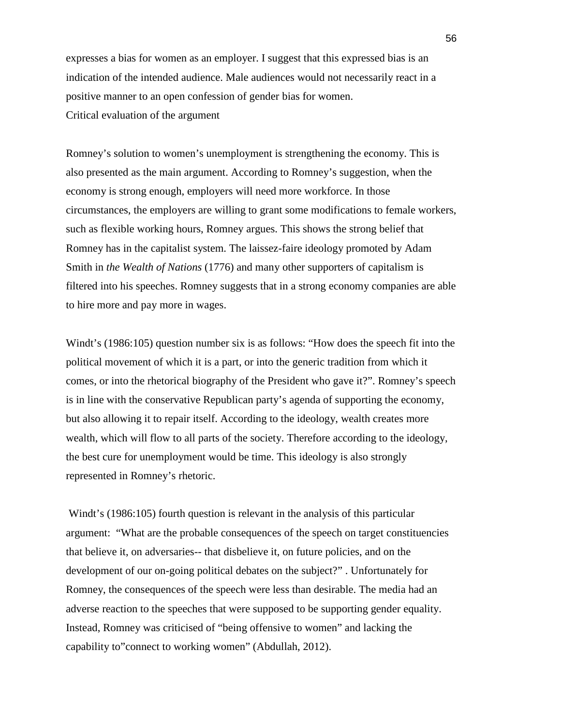expresses a bias for women as an employer. I suggest that this expressed bias is an indication of the intended audience. Male audiences would not necessarily react in a positive manner to an open confession of gender bias for women. Critical evaluation of the argument

Romney's solution to women's unemployment is strengthening the economy. This is also presented as the main argument. According to Romney's suggestion, when the economy is strong enough, employers will need more workforce. In those circumstances, the employers are willing to grant some modifications to female workers, such as flexible working hours, Romney argues. This shows the strong belief that Romney has in the capitalist system. The laissez-faire ideology promoted by Adam Smith in *the Wealth of Nations* (1776) and many other supporters of capitalism is filtered into his speeches. Romney suggests that in a strong economy companies are able to hire more and pay more in wages.

Windt's (1986:105) question number six is as follows: "How does the speech fit into the political movement of which it is a part, or into the generic tradition from which it comes, or into the rhetorical biography of the President who gave it?". Romney's speech is in line with the conservative Republican party's agenda of supporting the economy, but also allowing it to repair itself. According to the ideology, wealth creates more wealth, which will flow to all parts of the society. Therefore according to the ideology, the best cure for unemployment would be time. This ideology is also strongly represented in Romney's rhetoric.

 Windt's (1986:105) fourth question is relevant in the analysis of this particular argument: "What are the probable consequences of the speech on target constituencies that believe it, on adversaries-- that disbelieve it, on future policies, and on the development of our on-going political debates on the subject?" . Unfortunately for Romney, the consequences of the speech were less than desirable. The media had an adverse reaction to the speeches that were supposed to be supporting gender equality. Instead, Romney was criticised of "being offensive to women" and lacking the capability to"connect to working women" (Abdullah, 2012).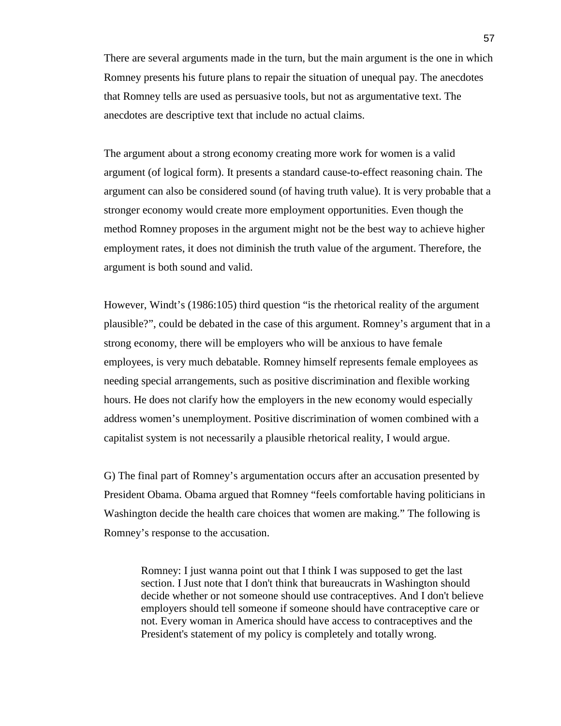There are several arguments made in the turn, but the main argument is the one in which Romney presents his future plans to repair the situation of unequal pay. The anecdotes that Romney tells are used as persuasive tools, but not as argumentative text. The anecdotes are descriptive text that include no actual claims.

The argument about a strong economy creating more work for women is a valid argument (of logical form). It presents a standard cause-to-effect reasoning chain. The argument can also be considered sound (of having truth value). It is very probable that a stronger economy would create more employment opportunities. Even though the method Romney proposes in the argument might not be the best way to achieve higher employment rates, it does not diminish the truth value of the argument. Therefore, the argument is both sound and valid.

However, Windt's (1986:105) third question "is the rhetorical reality of the argument plausible?", could be debated in the case of this argument. Romney's argument that in a strong economy, there will be employers who will be anxious to have female employees, is very much debatable. Romney himself represents female employees as needing special arrangements, such as positive discrimination and flexible working hours. He does not clarify how the employers in the new economy would especially address women's unemployment. Positive discrimination of women combined with a capitalist system is not necessarily a plausible rhetorical reality, I would argue.

G) The final part of Romney's argumentation occurs after an accusation presented by President Obama. Obama argued that Romney "feels comfortable having politicians in Washington decide the health care choices that women are making." The following is Romney's response to the accusation.

Romney: I just wanna point out that I think I was supposed to get the last section. I Just note that I don't think that bureaucrats in Washington should decide whether or not someone should use contraceptives. And I don't believe employers should tell someone if someone should have contraceptive care or not. Every woman in America should have access to contraceptives and the President's statement of my policy is completely and totally wrong.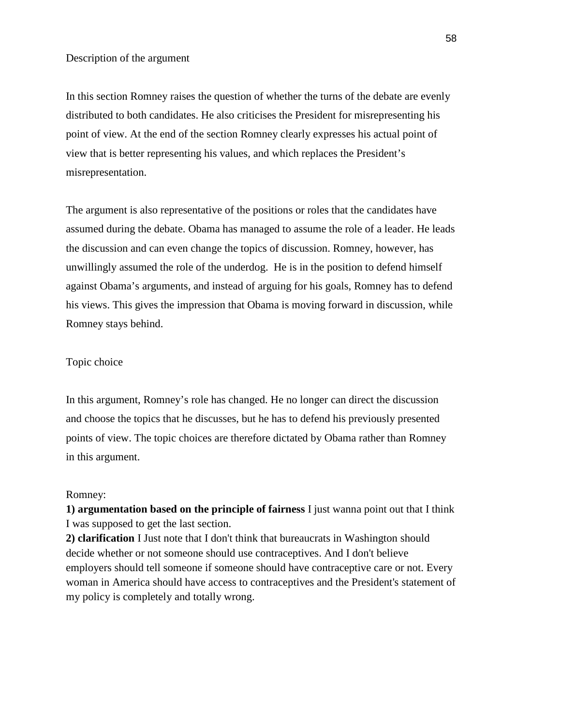In this section Romney raises the question of whether the turns of the debate are evenly distributed to both candidates. He also criticises the President for misrepresenting his point of view. At the end of the section Romney clearly expresses his actual point of view that is better representing his values, and which replaces the President's misrepresentation.

The argument is also representative of the positions or roles that the candidates have assumed during the debate. Obama has managed to assume the role of a leader. He leads the discussion and can even change the topics of discussion. Romney, however, has unwillingly assumed the role of the underdog. He is in the position to defend himself against Obama's arguments, and instead of arguing for his goals, Romney has to defend his views. This gives the impression that Obama is moving forward in discussion, while Romney stays behind.

## Topic choice

In this argument, Romney's role has changed. He no longer can direct the discussion and choose the topics that he discusses, but he has to defend his previously presented points of view. The topic choices are therefore dictated by Obama rather than Romney in this argument.

## Romney:

**1) argumentation based on the principle of fairness** I just wanna point out that I think I was supposed to get the last section.

**2) clarification** I Just note that I don't think that bureaucrats in Washington should decide whether or not someone should use contraceptives. And I don't believe employers should tell someone if someone should have contraceptive care or not. Every woman in America should have access to contraceptives and the President's statement of my policy is completely and totally wrong.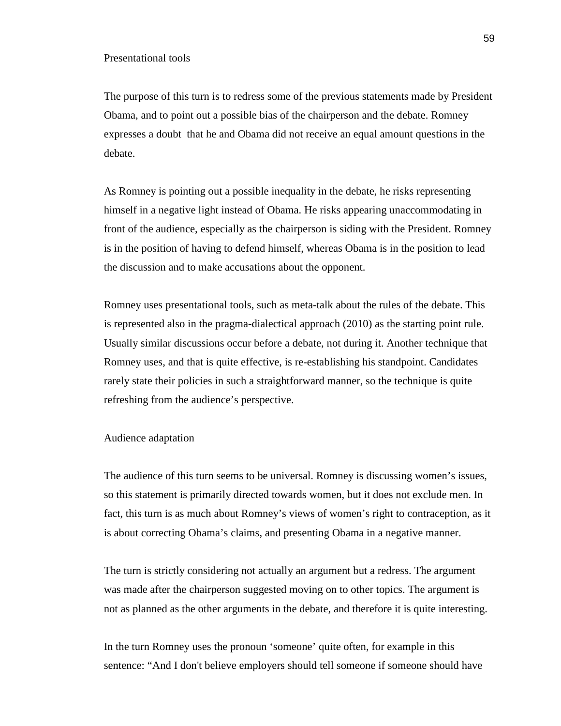The purpose of this turn is to redress some of the previous statements made by President Obama, and to point out a possible bias of the chairperson and the debate. Romney expresses a doubt that he and Obama did not receive an equal amount questions in the debate.

As Romney is pointing out a possible inequality in the debate, he risks representing himself in a negative light instead of Obama. He risks appearing unaccommodating in front of the audience, especially as the chairperson is siding with the President. Romney is in the position of having to defend himself, whereas Obama is in the position to lead the discussion and to make accusations about the opponent.

Romney uses presentational tools, such as meta-talk about the rules of the debate. This is represented also in the pragma-dialectical approach (2010) as the starting point rule. Usually similar discussions occur before a debate, not during it. Another technique that Romney uses, and that is quite effective, is re-establishing his standpoint. Candidates rarely state their policies in such a straightforward manner, so the technique is quite refreshing from the audience's perspective.

#### Audience adaptation

The audience of this turn seems to be universal. Romney is discussing women's issues, so this statement is primarily directed towards women, but it does not exclude men. In fact, this turn is as much about Romney's views of women's right to contraception, as it is about correcting Obama's claims, and presenting Obama in a negative manner.

The turn is strictly considering not actually an argument but a redress. The argument was made after the chairperson suggested moving on to other topics. The argument is not as planned as the other arguments in the debate, and therefore it is quite interesting.

In the turn Romney uses the pronoun 'someone' quite often, for example in this sentence: "And I don't believe employers should tell someone if someone should have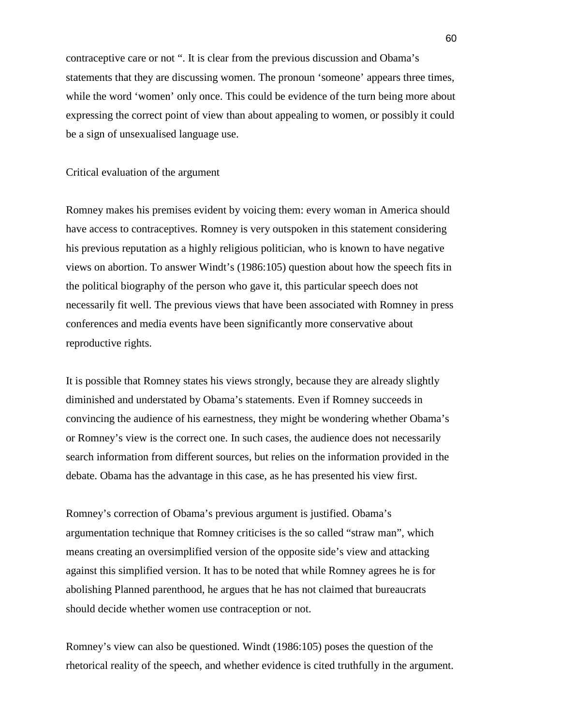contraceptive care or not ". It is clear from the previous discussion and Obama's statements that they are discussing women. The pronoun 'someone' appears three times, while the word 'women' only once. This could be evidence of the turn being more about expressing the correct point of view than about appealing to women, or possibly it could be a sign of unsexualised language use.

### Critical evaluation of the argument

Romney makes his premises evident by voicing them: every woman in America should have access to contraceptives. Romney is very outspoken in this statement considering his previous reputation as a highly religious politician, who is known to have negative views on abortion. To answer Windt's (1986:105) question about how the speech fits in the political biography of the person who gave it, this particular speech does not necessarily fit well. The previous views that have been associated with Romney in press conferences and media events have been significantly more conservative about reproductive rights.

It is possible that Romney states his views strongly, because they are already slightly diminished and understated by Obama's statements. Even if Romney succeeds in convincing the audience of his earnestness, they might be wondering whether Obama's or Romney's view is the correct one. In such cases, the audience does not necessarily search information from different sources, but relies on the information provided in the debate. Obama has the advantage in this case, as he has presented his view first.

Romney's correction of Obama's previous argument is justified. Obama's argumentation technique that Romney criticises is the so called "straw man", which means creating an oversimplified version of the opposite side's view and attacking against this simplified version. It has to be noted that while Romney agrees he is for abolishing Planned parenthood, he argues that he has not claimed that bureaucrats should decide whether women use contraception or not.

Romney's view can also be questioned. Windt (1986:105) poses the question of the rhetorical reality of the speech, and whether evidence is cited truthfully in the argument.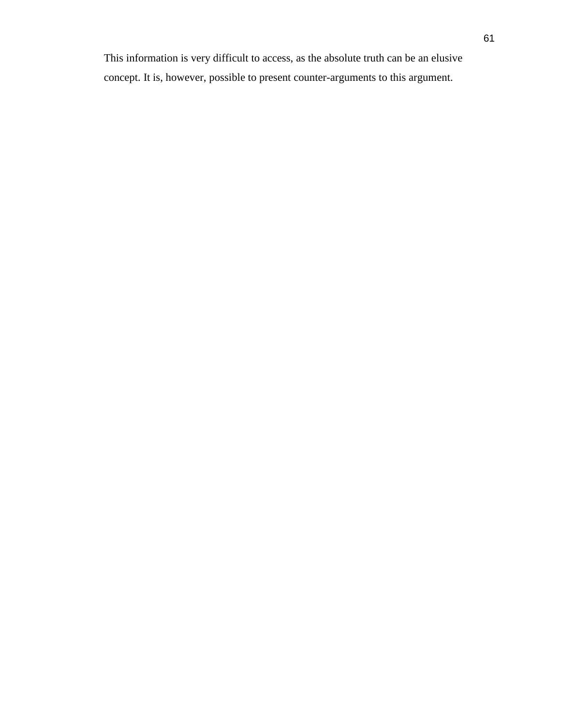This information is very difficult to access, as the absolute truth can be an elusive concept. It is, however, possible to present counter-arguments to this argument.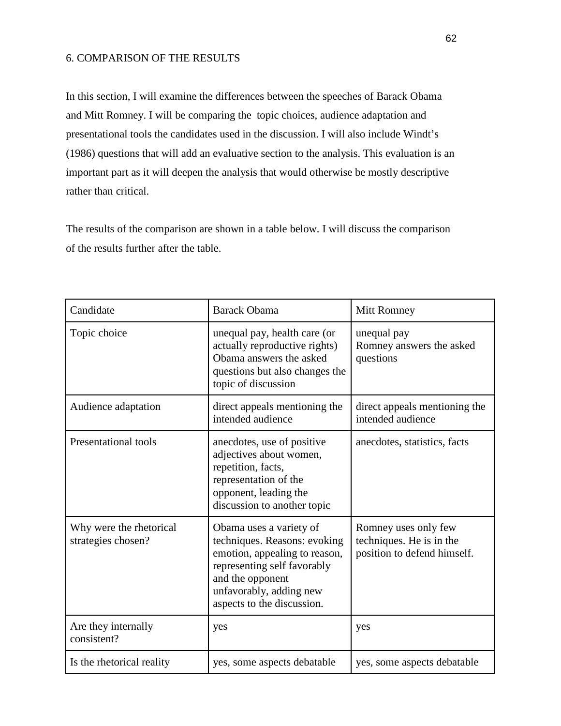# 6. COMPARISON OF THE RESULTS

In this section, I will examine the differences between the speeches of Barack Obama and Mitt Romney. I will be comparing the topic choices, audience adaptation and presentational tools the candidates used in the discussion. I will also include Windt's (1986) questions that will add an evaluative section to the analysis. This evaluation is an important part as it will deepen the analysis that would otherwise be mostly descriptive rather than critical.

The results of the comparison are shown in a table below. I will discuss the comparison of the results further after the table.

| Candidate                                     | <b>Barack Obama</b>                                                                                                                                                                                  | Mitt Romney                                                                     |
|-----------------------------------------------|------------------------------------------------------------------------------------------------------------------------------------------------------------------------------------------------------|---------------------------------------------------------------------------------|
| Topic choice                                  | unequal pay, health care (or<br>actually reproductive rights)<br>Obama answers the asked<br>questions but also changes the<br>topic of discussion                                                    | unequal pay<br>Romney answers the asked<br>questions                            |
| Audience adaptation                           | direct appeals mentioning the<br>intended audience                                                                                                                                                   | direct appeals mentioning the<br>intended audience                              |
| Presentational tools                          | anecdotes, use of positive<br>adjectives about women,<br>repetition, facts,<br>representation of the<br>opponent, leading the<br>discussion to another topic                                         | anecdotes, statistics, facts                                                    |
| Why were the rhetorical<br>strategies chosen? | Obama uses a variety of<br>techniques. Reasons: evoking<br>emotion, appealing to reason,<br>representing self favorably<br>and the opponent<br>unfavorably, adding new<br>aspects to the discussion. | Romney uses only few<br>techniques. He is in the<br>position to defend himself. |
| Are they internally<br>consistent?            | yes                                                                                                                                                                                                  | yes                                                                             |
| Is the rhetorical reality                     | yes, some aspects debatable                                                                                                                                                                          | yes, some aspects debatable                                                     |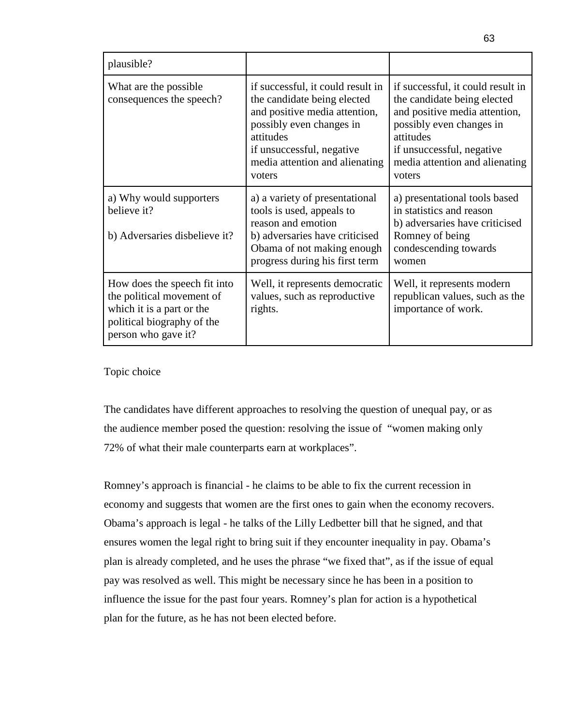| plausible?                                                                                                                                  |                                                                                                                                                                                                                     |                                                                                                                                                                                                                     |
|---------------------------------------------------------------------------------------------------------------------------------------------|---------------------------------------------------------------------------------------------------------------------------------------------------------------------------------------------------------------------|---------------------------------------------------------------------------------------------------------------------------------------------------------------------------------------------------------------------|
| What are the possible.<br>consequences the speech?                                                                                          | if successful, it could result in<br>the candidate being elected<br>and positive media attention,<br>possibly even changes in<br>attitudes<br>if unsuccessful, negative<br>media attention and alienating<br>voters | if successful, it could result in<br>the candidate being elected<br>and positive media attention,<br>possibly even changes in<br>attitudes<br>if unsuccessful, negative<br>media attention and alienating<br>voters |
| a) Why would supporters<br>believe it?<br>b) Adversaries disbelieve it?                                                                     | a) a variety of presentational<br>tools is used, appeals to<br>reason and emotion<br>b) adversaries have criticised<br>Obama of not making enough<br>progress during his first term                                 | a) presentational tools based<br>in statistics and reason<br>b) adversaries have criticised<br>Romney of being<br>condescending towards<br>women                                                                    |
| How does the speech fit into<br>the political movement of<br>which it is a part or the<br>political biography of the<br>person who gave it? | Well, it represents democratic<br>values, such as reproductive<br>rights.                                                                                                                                           | Well, it represents modern<br>republican values, such as the<br>importance of work.                                                                                                                                 |

# Topic choice

The candidates have different approaches to resolving the question of unequal pay, or as the audience member posed the question: resolving the issue of "women making only 72% of what their male counterparts earn at workplaces".

Romney's approach is financial - he claims to be able to fix the current recession in economy and suggests that women are the first ones to gain when the economy recovers. Obama's approach is legal - he talks of the Lilly Ledbetter bill that he signed, and that ensures women the legal right to bring suit if they encounter inequality in pay. Obama's plan is already completed, and he uses the phrase "we fixed that", as if the issue of equal pay was resolved as well. This might be necessary since he has been in a position to influence the issue for the past four years. Romney's plan for action is a hypothetical plan for the future, as he has not been elected before.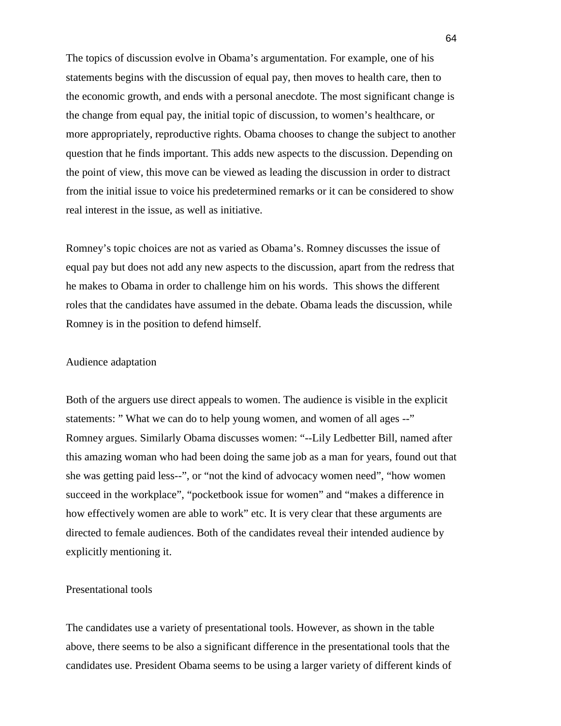The topics of discussion evolve in Obama's argumentation. For example, one of his statements begins with the discussion of equal pay, then moves to health care, then to the economic growth, and ends with a personal anecdote. The most significant change is the change from equal pay, the initial topic of discussion, to women's healthcare, or more appropriately, reproductive rights. Obama chooses to change the subject to another question that he finds important. This adds new aspects to the discussion. Depending on the point of view, this move can be viewed as leading the discussion in order to distract from the initial issue to voice his predetermined remarks or it can be considered to show real interest in the issue, as well as initiative.

Romney's topic choices are not as varied as Obama's. Romney discusses the issue of equal pay but does not add any new aspects to the discussion, apart from the redress that he makes to Obama in order to challenge him on his words. This shows the different roles that the candidates have assumed in the debate. Obama leads the discussion, while Romney is in the position to defend himself.

# Audience adaptation

Both of the arguers use direct appeals to women. The audience is visible in the explicit statements: " What we can do to help young women, and women of all ages --" Romney argues. Similarly Obama discusses women: "--Lily Ledbetter Bill, named after this amazing woman who had been doing the same job as a man for years, found out that she was getting paid less--", or "not the kind of advocacy women need", "how women succeed in the workplace", "pocketbook issue for women" and "makes a difference in how effectively women are able to work" etc. It is very clear that these arguments are directed to female audiences. Both of the candidates reveal their intended audience by explicitly mentioning it.

# Presentational tools

The candidates use a variety of presentational tools. However, as shown in the table above, there seems to be also a significant difference in the presentational tools that the candidates use. President Obama seems to be using a larger variety of different kinds of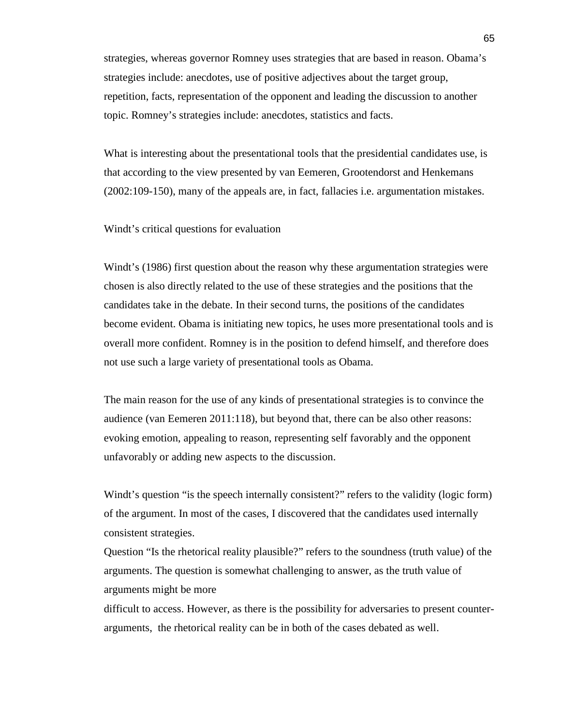strategies, whereas governor Romney uses strategies that are based in reason. Obama's strategies include: anecdotes, use of positive adjectives about the target group, repetition, facts, representation of the opponent and leading the discussion to another topic. Romney's strategies include: anecdotes, statistics and facts.

What is interesting about the presentational tools that the presidential candidates use, is that according to the view presented by van Eemeren, Grootendorst and Henkemans (2002:109-150), many of the appeals are, in fact, fallacies i.e. argumentation mistakes.

Windt's critical questions for evaluation

Windt's (1986) first question about the reason why these argumentation strategies were chosen is also directly related to the use of these strategies and the positions that the candidates take in the debate. In their second turns, the positions of the candidates become evident. Obama is initiating new topics, he uses more presentational tools and is overall more confident. Romney is in the position to defend himself, and therefore does not use such a large variety of presentational tools as Obama.

The main reason for the use of any kinds of presentational strategies is to convince the audience (van Eemeren 2011:118), but beyond that, there can be also other reasons: evoking emotion, appealing to reason, representing self favorably and the opponent unfavorably or adding new aspects to the discussion.

Windt's question "is the speech internally consistent?" refers to the validity (logic form) of the argument. In most of the cases, I discovered that the candidates used internally consistent strategies.

Question "Is the rhetorical reality plausible?" refers to the soundness (truth value) of the arguments. The question is somewhat challenging to answer, as the truth value of arguments might be more

difficult to access. However, as there is the possibility for adversaries to present counterarguments, the rhetorical reality can be in both of the cases debated as well.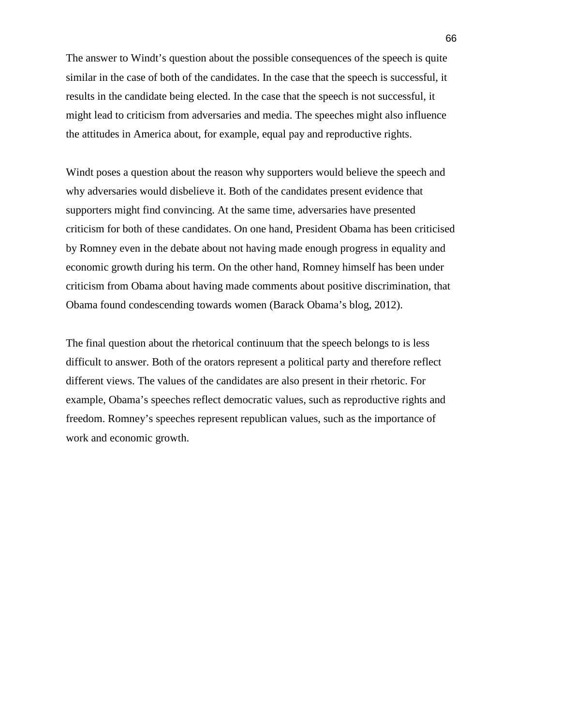The answer to Windt's question about the possible consequences of the speech is quite similar in the case of both of the candidates. In the case that the speech is successful, it results in the candidate being elected. In the case that the speech is not successful, it might lead to criticism from adversaries and media. The speeches might also influence the attitudes in America about, for example, equal pay and reproductive rights.

Windt poses a question about the reason why supporters would believe the speech and why adversaries would disbelieve it. Both of the candidates present evidence that supporters might find convincing. At the same time, adversaries have presented criticism for both of these candidates. On one hand, President Obama has been criticised by Romney even in the debate about not having made enough progress in equality and economic growth during his term. On the other hand, Romney himself has been under criticism from Obama about having made comments about positive discrimination, that Obama found condescending towards women (Barack Obama's blog, 2012).

The final question about the rhetorical continuum that the speech belongs to is less difficult to answer. Both of the orators represent a political party and therefore reflect different views. The values of the candidates are also present in their rhetoric. For example, Obama's speeches reflect democratic values, such as reproductive rights and freedom. Romney's speeches represent republican values, such as the importance of work and economic growth.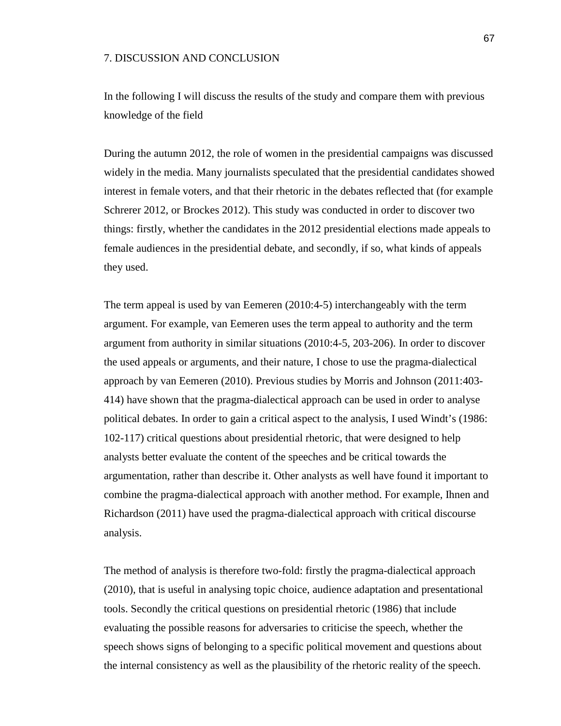## 7. DISCUSSION AND CONCLUSION

In the following I will discuss the results of the study and compare them with previous knowledge of the field

During the autumn 2012, the role of women in the presidential campaigns was discussed widely in the media. Many journalists speculated that the presidential candidates showed interest in female voters, and that their rhetoric in the debates reflected that (for example Schrerer 2012, or Brockes 2012). This study was conducted in order to discover two things: firstly, whether the candidates in the 2012 presidential elections made appeals to female audiences in the presidential debate, and secondly, if so, what kinds of appeals they used.

The term appeal is used by van Eemeren (2010:4-5) interchangeably with the term argument. For example, van Eemeren uses the term appeal to authority and the term argument from authority in similar situations (2010:4-5, 203-206). In order to discover the used appeals or arguments, and their nature, I chose to use the pragma-dialectical approach by van Eemeren (2010). Previous studies by Morris and Johnson (2011:403- 414) have shown that the pragma-dialectical approach can be used in order to analyse political debates. In order to gain a critical aspect to the analysis, I used Windt's (1986: 102-117) critical questions about presidential rhetoric, that were designed to help analysts better evaluate the content of the speeches and be critical towards the argumentation, rather than describe it. Other analysts as well have found it important to combine the pragma-dialectical approach with another method. For example, Ihnen and Richardson (2011) have used the pragma-dialectical approach with critical discourse analysis.

The method of analysis is therefore two-fold: firstly the pragma-dialectical approach (2010), that is useful in analysing topic choice, audience adaptation and presentational tools. Secondly the critical questions on presidential rhetoric (1986) that include evaluating the possible reasons for adversaries to criticise the speech, whether the speech shows signs of belonging to a specific political movement and questions about the internal consistency as well as the plausibility of the rhetoric reality of the speech.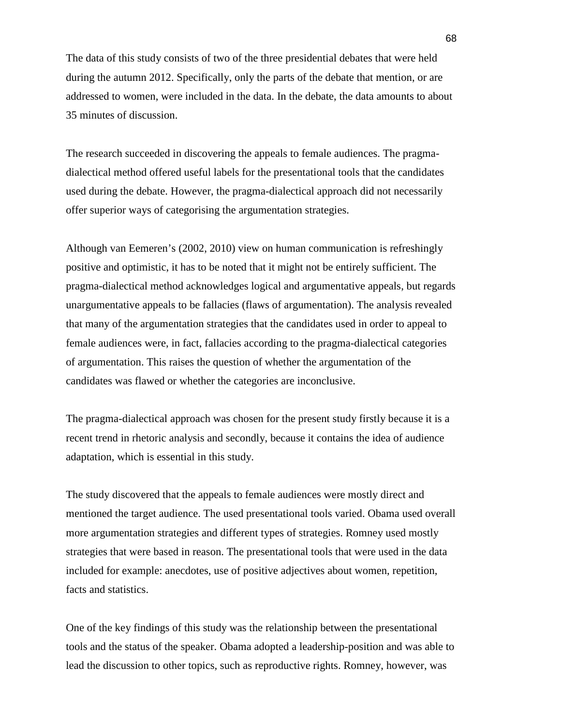The data of this study consists of two of the three presidential debates that were held during the autumn 2012. Specifically, only the parts of the debate that mention, or are addressed to women, were included in the data. In the debate, the data amounts to about 35 minutes of discussion.

The research succeeded in discovering the appeals to female audiences. The pragmadialectical method offered useful labels for the presentational tools that the candidates used during the debate. However, the pragma-dialectical approach did not necessarily offer superior ways of categorising the argumentation strategies.

Although van Eemeren's (2002, 2010) view on human communication is refreshingly positive and optimistic, it has to be noted that it might not be entirely sufficient. The pragma-dialectical method acknowledges logical and argumentative appeals, but regards unargumentative appeals to be fallacies (flaws of argumentation). The analysis revealed that many of the argumentation strategies that the candidates used in order to appeal to female audiences were, in fact, fallacies according to the pragma-dialectical categories of argumentation. This raises the question of whether the argumentation of the candidates was flawed or whether the categories are inconclusive.

The pragma-dialectical approach was chosen for the present study firstly because it is a recent trend in rhetoric analysis and secondly, because it contains the idea of audience adaptation, which is essential in this study.

The study discovered that the appeals to female audiences were mostly direct and mentioned the target audience. The used presentational tools varied. Obama used overall more argumentation strategies and different types of strategies. Romney used mostly strategies that were based in reason. The presentational tools that were used in the data included for example: anecdotes, use of positive adjectives about women, repetition, facts and statistics.

One of the key findings of this study was the relationship between the presentational tools and the status of the speaker. Obama adopted a leadership-position and was able to lead the discussion to other topics, such as reproductive rights. Romney, however, was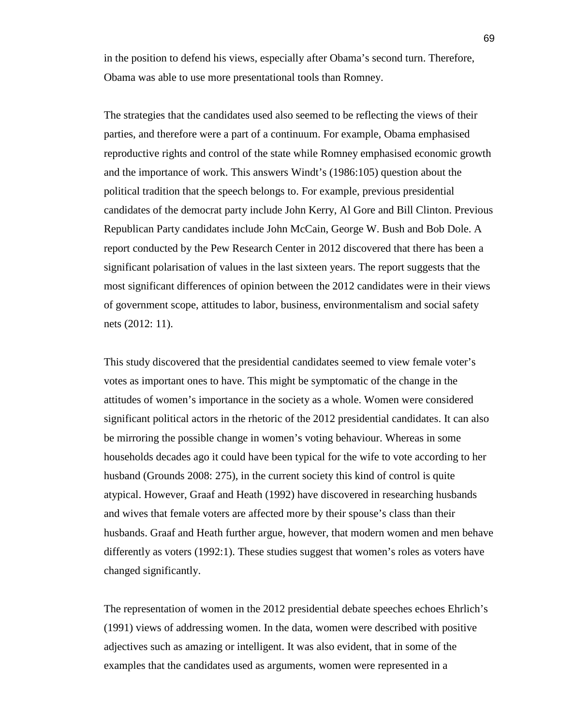in the position to defend his views, especially after Obama's second turn. Therefore, Obama was able to use more presentational tools than Romney.

The strategies that the candidates used also seemed to be reflecting the views of their parties, and therefore were a part of a continuum. For example, Obama emphasised reproductive rights and control of the state while Romney emphasised economic growth and the importance of work. This answers Windt's (1986:105) question about the political tradition that the speech belongs to. For example, previous presidential candidates of the democrat party include John Kerry, Al Gore and Bill Clinton. Previous Republican Party candidates include John McCain, George W. Bush and Bob Dole. A report conducted by the Pew Research Center in 2012 discovered that there has been a significant polarisation of values in the last sixteen years. The report suggests that the most significant differences of opinion between the 2012 candidates were in their views of government scope, attitudes to labor, business, environmentalism and social safety nets (2012: 11).

This study discovered that the presidential candidates seemed to view female voter's votes as important ones to have. This might be symptomatic of the change in the attitudes of women's importance in the society as a whole. Women were considered significant political actors in the rhetoric of the 2012 presidential candidates. It can also be mirroring the possible change in women's voting behaviour. Whereas in some households decades ago it could have been typical for the wife to vote according to her husband (Grounds 2008: 275), in the current society this kind of control is quite atypical. However, Graaf and Heath (1992) have discovered in researching husbands and wives that female voters are affected more by their spouse's class than their husbands. Graaf and Heath further argue, however, that modern women and men behave differently as voters (1992:1). These studies suggest that women's roles as voters have changed significantly.

The representation of women in the 2012 presidential debate speeches echoes Ehrlich's (1991) views of addressing women. In the data, women were described with positive adjectives such as amazing or intelligent. It was also evident, that in some of the examples that the candidates used as arguments, women were represented in a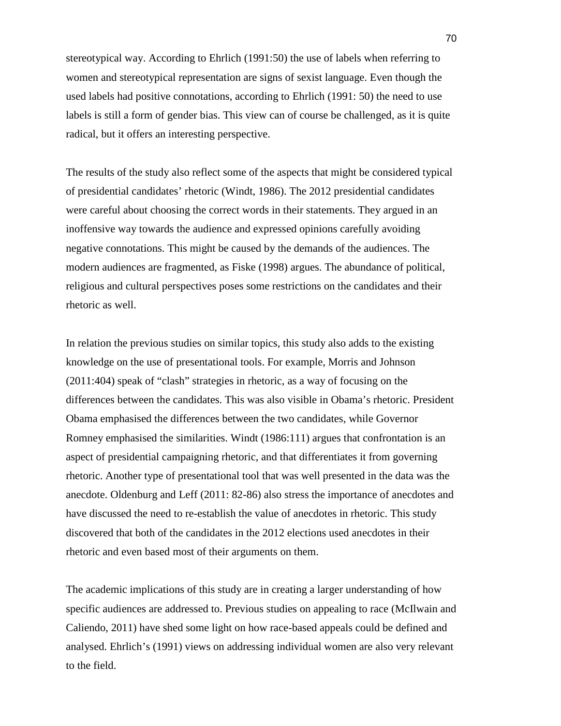stereotypical way. According to Ehrlich (1991:50) the use of labels when referring to women and stereotypical representation are signs of sexist language. Even though the used labels had positive connotations, according to Ehrlich (1991: 50) the need to use labels is still a form of gender bias. This view can of course be challenged, as it is quite radical, but it offers an interesting perspective.

The results of the study also reflect some of the aspects that might be considered typical of presidential candidates' rhetoric (Windt, 1986). The 2012 presidential candidates were careful about choosing the correct words in their statements. They argued in an inoffensive way towards the audience and expressed opinions carefully avoiding negative connotations. This might be caused by the demands of the audiences. The modern audiences are fragmented, as Fiske (1998) argues. The abundance of political, religious and cultural perspectives poses some restrictions on the candidates and their rhetoric as well.

In relation the previous studies on similar topics, this study also adds to the existing knowledge on the use of presentational tools. For example, Morris and Johnson (2011:404) speak of "clash" strategies in rhetoric, as a way of focusing on the differences between the candidates. This was also visible in Obama's rhetoric. President Obama emphasised the differences between the two candidates, while Governor Romney emphasised the similarities. Windt (1986:111) argues that confrontation is an aspect of presidential campaigning rhetoric, and that differentiates it from governing rhetoric. Another type of presentational tool that was well presented in the data was the anecdote. Oldenburg and Leff (2011: 82-86) also stress the importance of anecdotes and have discussed the need to re-establish the value of anecdotes in rhetoric. This study discovered that both of the candidates in the 2012 elections used anecdotes in their rhetoric and even based most of their arguments on them.

The academic implications of this study are in creating a larger understanding of how specific audiences are addressed to. Previous studies on appealing to race (McIlwain and Caliendo, 2011) have shed some light on how race-based appeals could be defined and analysed. Ehrlich's (1991) views on addressing individual women are also very relevant to the field.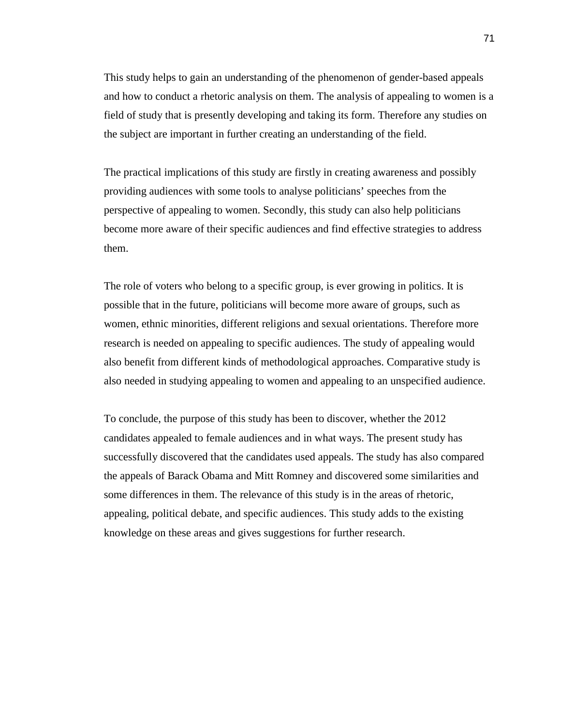This study helps to gain an understanding of the phenomenon of gender-based appeals and how to conduct a rhetoric analysis on them. The analysis of appealing to women is a field of study that is presently developing and taking its form. Therefore any studies on the subject are important in further creating an understanding of the field.

The practical implications of this study are firstly in creating awareness and possibly providing audiences with some tools to analyse politicians' speeches from the perspective of appealing to women. Secondly, this study can also help politicians become more aware of their specific audiences and find effective strategies to address them.

The role of voters who belong to a specific group, is ever growing in politics. It is possible that in the future, politicians will become more aware of groups, such as women, ethnic minorities, different religions and sexual orientations. Therefore more research is needed on appealing to specific audiences. The study of appealing would also benefit from different kinds of methodological approaches. Comparative study is also needed in studying appealing to women and appealing to an unspecified audience.

To conclude, the purpose of this study has been to discover, whether the 2012 candidates appealed to female audiences and in what ways. The present study has successfully discovered that the candidates used appeals. The study has also compared the appeals of Barack Obama and Mitt Romney and discovered some similarities and some differences in them. The relevance of this study is in the areas of rhetoric, appealing, political debate, and specific audiences. This study adds to the existing knowledge on these areas and gives suggestions for further research.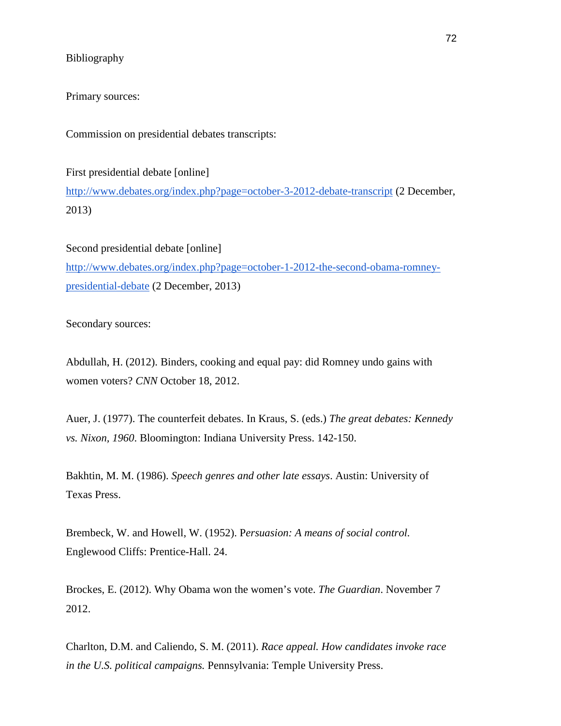# Bibliography

Primary sources:

Commission on presidential debates transcripts:

First presidential debate [online]

http://www.debates.org/index.php?page=october-3-2012-debate-transcript (2 December, 2013)

Second presidential debate [online]

http://www.debates.org/index.php?page=october-1-2012-the-second-obama-romneypresidential-debate (2 December, 2013)

Secondary sources:

Abdullah, H. (2012). Binders, cooking and equal pay: did Romney undo gains with women voters? *CNN* October 18, 2012.

Auer, J. (1977). The counterfeit debates. In Kraus, S. (eds.) *The great debates: Kennedy vs. Nixon, 1960*. Bloomington: Indiana University Press. 142-150.

Bakhtin, M. M. (1986). *Speech genres and other late essays*. Austin: University of Texas Press.

Brembeck, W. and Howell, W. (1952). P*ersuasion: A means of social control.* Englewood Cliffs: Prentice-Hall. 24.

Brockes, E. (2012). Why Obama won the women's vote. *The Guardian*. November 7 2012.

Charlton, D.M. and Caliendo, S. M. (2011). *Race appeal. How candidates invoke race in the U.S. political campaigns.* Pennsylvania: Temple University Press.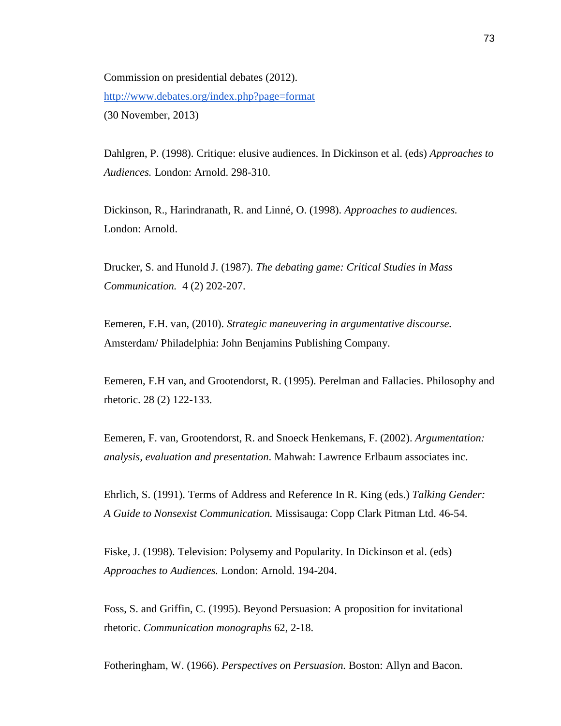Commission on presidential debates (2012). http://www.debates.org/index.php?page=format (30 November, 2013)

Dahlgren, P. (1998). Critique: elusive audiences. In Dickinson et al. (eds) *Approaches to Audiences.* London: Arnold. 298-310.

Dickinson, R., Harindranath, R. and Linné, O. (1998). *Approaches to audiences.*  London: Arnold.

Drucker, S. and Hunold J. (1987). *The debating game: Critical Studies in Mass Communication.* 4 (2) 202-207.

Eemeren, F.H. van, (2010). *Strategic maneuvering in argumentative discourse.*  Amsterdam/ Philadelphia: John Benjamins Publishing Company.

Eemeren, F.H van, and Grootendorst, R. (1995). Perelman and Fallacies. Philosophy and rhetoric. 28 (2) 122-133.

Eemeren, F. van, Grootendorst, R. and Snoeck Henkemans, F. (2002). *Argumentation: analysis, evaluation and presentation*. Mahwah: Lawrence Erlbaum associates inc.

Ehrlich, S. (1991). Terms of Address and Reference In R. King (eds.) *Talking Gender: A Guide to Nonsexist Communication.* Missisauga: Copp Clark Pitman Ltd. 46-54.

Fiske, J. (1998). Television: Polysemy and Popularity. In Dickinson et al. (eds) *Approaches to Audiences.* London: Arnold. 194-204.

Foss, S. and Griffin, C. (1995). Beyond Persuasion: A proposition for invitational rhetoric. *Communication monographs* 62, 2-18.

Fotheringham, W. (1966). *Perspectives on Persuasion.* Boston: Allyn and Bacon.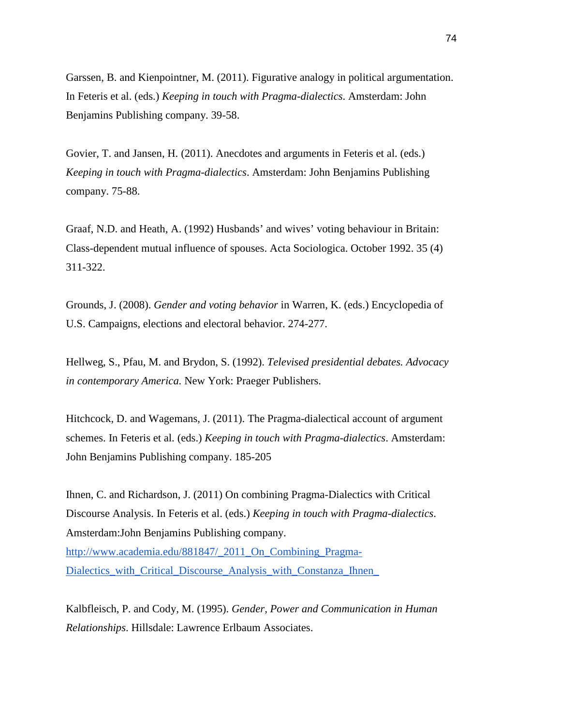Garssen, B. and Kienpointner, M. (2011). Figurative analogy in political argumentation. In Feteris et al. (eds.) *Keeping in touch with Pragma-dialectics*. Amsterdam: John Benjamins Publishing company. 39-58.

Govier, T. and Jansen, H. (2011). Anecdotes and arguments in Feteris et al. (eds.) *Keeping in touch with Pragma-dialectics*. Amsterdam: John Benjamins Publishing company. 75-88.

Graaf, N.D. and Heath, A. (1992) Husbands' and wives' voting behaviour in Britain: Class-dependent mutual influence of spouses. Acta Sociologica. October 1992. 35 (4) 311-322.

Grounds, J. (2008). *Gender and voting behavior* in Warren, K. (eds.) Encyclopedia of U.S. Campaigns, elections and electoral behavior. 274-277.

Hellweg, S., Pfau, M. and Brydon, S. (1992). *Televised presidential debates. Advocacy in contemporary America.* New York: Praeger Publishers.

Hitchcock, D. and Wagemans, J. (2011). The Pragma-dialectical account of argument schemes. In Feteris et al. (eds.) *Keeping in touch with Pragma-dialectics*. Amsterdam: John Benjamins Publishing company. 185-205

Ihnen, C. and Richardson, J. (2011) On combining Pragma-Dialectics with Critical Discourse Analysis. In Feteris et al. (eds.) *Keeping in touch with Pragma-dialectics*. Amsterdam:John Benjamins Publishing company.

http://www.academia.edu/881847/\_2011\_On\_Combining\_Pragma-Dialectics\_with\_Critical\_Discourse\_Analysis\_with\_Constanza\_Ihnen\_

Kalbfleisch, P. and Cody, M. (1995). *Gender, Power and Communication in Human Relationships*. Hillsdale: Lawrence Erlbaum Associates.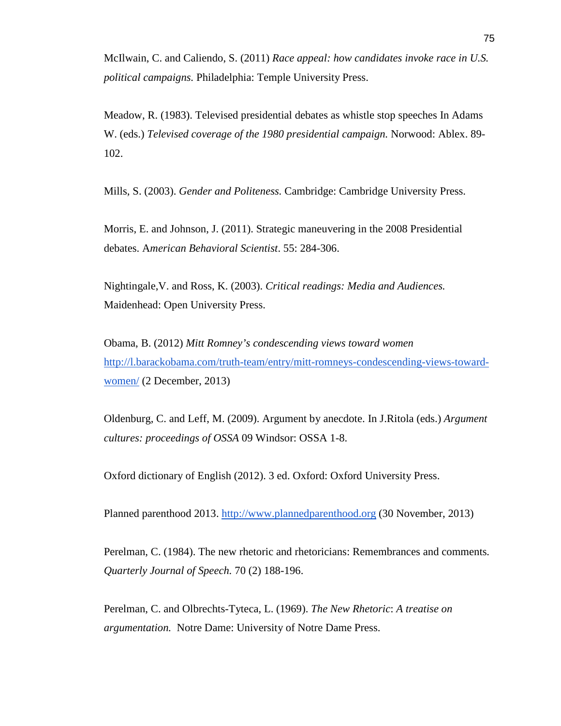McIlwain, C. and Caliendo, S. (2011) *Race appeal: how candidates invoke race in U.S. political campaigns.* Philadelphia: Temple University Press.

Meadow, R. (1983). Televised presidential debates as whistle stop speeches In Adams W. (eds.) *Televised coverage of the 1980 presidential campaign.* Norwood: Ablex. 89- 102.

Mills, S. (2003). *Gender and Politeness.* Cambridge: Cambridge University Press.

Morris, E. and Johnson, J. (2011). Strategic maneuvering in the 2008 Presidential debates. A*merican Behavioral Scientist*. 55: 284-306.

Nightingale,V. and Ross, K. (2003). *Critical readings: Media and Audiences.* Maidenhead: Open University Press.

Obama, B. (2012) *Mitt Romney's condescending views toward women*  http://l.barackobama.com/truth-team/entry/mitt-romneys-condescending-views-towardwomen/ (2 December, 2013)

Oldenburg, C. and Leff, M. (2009). Argument by anecdote. In J.Ritola (eds.) *Argument cultures: proceedings of OSSA* 09 Windsor: OSSA 1-8.

Oxford dictionary of English (2012). 3 ed. Oxford: Oxford University Press.

Planned parenthood 2013. http://www.plannedparenthood.org (30 November, 2013)

Perelman, C. (1984). The new rhetoric and rhetoricians: Remembrances and comments*. Quarterly Journal of Speech.* 70 (2) 188-196.

Perelman, C. and Olbrechts-Tyteca, L. (1969). *The New Rhetoric*: *A treatise on argumentation.* Notre Dame: University of Notre Dame Press.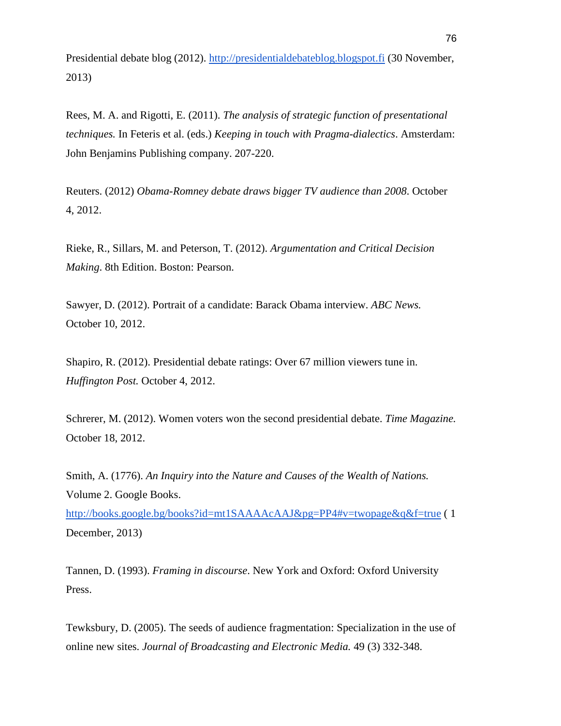Presidential debate blog (2012). http://presidentialdebateblog.blogspot.fi (30 November, 2013)

Rees, M. A. and Rigotti, E. (2011). *The analysis of strategic function of presentational techniques.* In Feteris et al. (eds.) *Keeping in touch with Pragma-dialectics*. Amsterdam: John Benjamins Publishing company. 207-220.

Reuters. (2012) *Obama-Romney debate draws bigger TV audience than 2008*. October 4, 2012.

Rieke, R., Sillars, M. and Peterson, T. (2012). *Argumentation and Critical Decision Making*. 8th Edition. Boston: Pearson.

Sawyer, D. (2012). Portrait of a candidate: Barack Obama interview. *ABC News.* October 10, 2012.

Shapiro, R. (2012). Presidential debate ratings: Over 67 million viewers tune in. *Huffington Post.* October 4, 2012.

Schrerer, M. (2012). Women voters won the second presidential debate. *Time Magazine.*  October 18, 2012.

Smith, A. (1776). *An Inquiry into the Nature and Causes of the Wealth of Nations.* Volume 2. Google Books. http://books.google.bg/books?id=mt1SAAAAcAAJ&pg=PP4#v=twopage&q&f=true ( 1

December, 2013)

Tannen, D. (1993). *Framing in discourse*. New York and Oxford: Oxford University Press.

Tewksbury, D. (2005). The seeds of audience fragmentation: Specialization in the use of online new sites. *Journal of Broadcasting and Electronic Media.* 49 (3) 332-348.